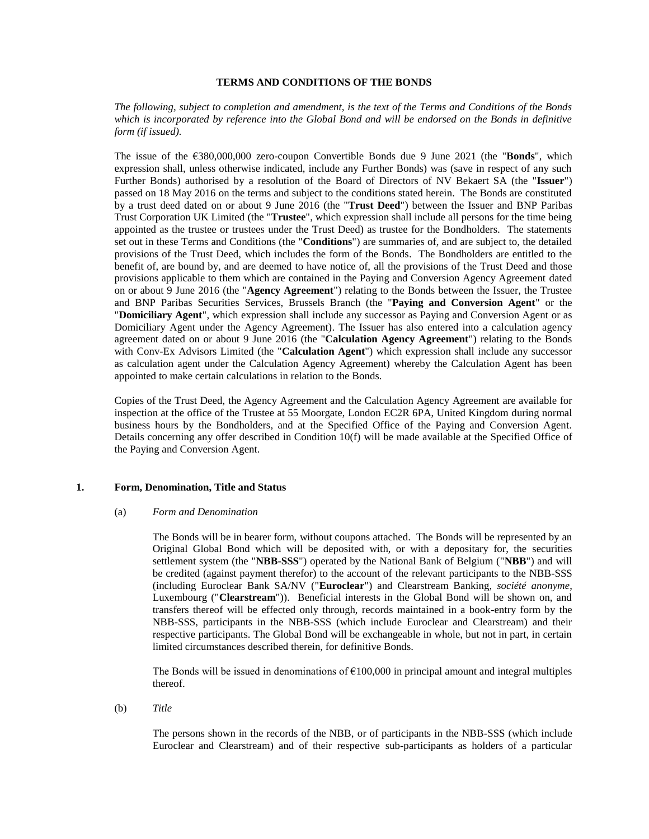# **TERMS AND CONDITIONS OF THE BONDS**

*The following, subject to completion and amendment, is the text of the Terms and Conditions of the Bonds which is incorporated by reference into the Global Bond and will be endorsed on the Bonds in definitive form (if issued).*

The issue of the €380,000,000 zero-coupon Convertible Bonds due 9 June 2021 (the "**Bonds**", which expression shall, unless otherwise indicated, include any Further Bonds) was (save in respect of any such Further Bonds) authorised by a resolution of the Board of Directors of NV Bekaert SA (the "**Issuer**") passed on 18 May 2016 on the terms and subject to the conditions stated herein. The Bonds are constituted by a trust deed dated on or about 9 June 2016 (the "**Trust Deed**") between the Issuer and BNP Paribas Trust Corporation UK Limited (the "**Trustee**", which expression shall include all persons for the time being appointed as the trustee or trustees under the Trust Deed) as trustee for the Bondholders. The statements set out in these Terms and Conditions (the "**Conditions**") are summaries of, and are subject to, the detailed provisions of the Trust Deed, which includes the form of the Bonds. The Bondholders are entitled to the benefit of, are bound by, and are deemed to have notice of, all the provisions of the Trust Deed and those provisions applicable to them which are contained in the Paying and Conversion Agency Agreement dated on or about 9 June 2016 (the "**Agency Agreement**") relating to the Bonds between the Issuer, the Trustee and BNP Paribas Securities Services, Brussels Branch (the "**Paying and Conversion Agent**" or the "**Domiciliary Agent**", which expression shall include any successor as Paying and Conversion Agent or as Domiciliary Agent under the Agency Agreement). The Issuer has also entered into a calculation agency agreement dated on or about 9 June 2016 (the "**Calculation Agency Agreement**") relating to the Bonds with Conv-Ex Advisors Limited (the "**Calculation Agent**") which expression shall include any successor as calculation agent under the Calculation Agency Agreement) whereby the Calculation Agent has been appointed to make certain calculations in relation to the Bonds.

Copies of the Trust Deed, the Agency Agreement and the Calculation Agency Agreement are available for inspection at the office of the Trustee at 55 Moorgate, London EC2R 6PA, United Kingdom during normal business hours by the Bondholders, and at the Specified Office of the Paying and Conversion Agent. Details concerning any offer described in Condition 10(f) will be made available at the Specified Office of the Paying and Conversion Agent.

### <span id="page-0-0"></span>**1. Form, Denomination, Title and Status**

## (a) *Form and Denomination*

The Bonds will be in bearer form, without coupons attached. The Bonds will be represented by an Original Global Bond which will be deposited with, or with a depositary for, the securities settlement system (the "**NBB-SSS**") operated by the National Bank of Belgium ("**NBB**") and will be credited (against payment therefor) to the account of the relevant participants to the NBB-SSS (including Euroclear Bank SA/NV ("**Euroclear**") and Clearstream Banking, *société anonyme*, Luxembourg ("**Clearstream**")). Beneficial interests in the Global Bond will be shown on, and transfers thereof will be effected only through, records maintained in a book-entry form by the NBB-SSS, participants in the NBB-SSS (which include Euroclear and Clearstream) and their respective participants. The Global Bond will be exchangeable in whole, but not in part, in certain limited circumstances described therein, for definitive Bonds.

The Bonds will be issued in denominations of  $\epsilon$ 100,000 in principal amount and integral multiples thereof.

(b) *Title*

The persons shown in the records of the NBB, or of participants in the NBB-SSS (which include Euroclear and Clearstream) and of their respective sub-participants as holders of a particular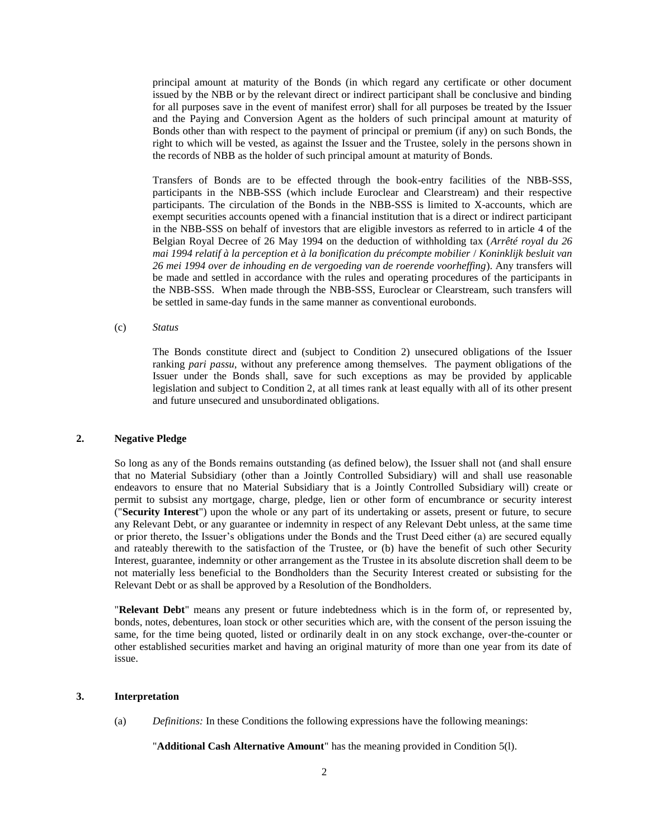principal amount at maturity of the Bonds (in which regard any certificate or other document issued by the NBB or by the relevant direct or indirect participant shall be conclusive and binding for all purposes save in the event of manifest error) shall for all purposes be treated by the Issuer and the Paying and Conversion Agent as the holders of such principal amount at maturity of Bonds other than with respect to the payment of principal or premium (if any) on such Bonds, the right to which will be vested, as against the Issuer and the Trustee, solely in the persons shown in the records of NBB as the holder of such principal amount at maturity of Bonds.

Transfers of Bonds are to be effected through the book-entry facilities of the NBB-SSS, participants in the NBB-SSS (which include Euroclear and Clearstream) and their respective participants. The circulation of the Bonds in the NBB-SSS is limited to X-accounts, which are exempt securities accounts opened with a financial institution that is a direct or indirect participant in the NBB-SSS on behalf of investors that are eligible investors as referred to in article 4 of the Belgian Royal Decree of 26 May 1994 on the deduction of withholding tax (*Arrêté royal du 26 mai 1994 relatif à la perception et à la bonification du précompte mobilier* / *Koninklijk besluit van 26 mei 1994 over de inhouding en de vergoeding van de roerende voorheffing*). Any transfers will be made and settled in accordance with the rules and operating procedures of the participants in the NBB-SSS. When made through the NBB-SSS, Euroclear or Clearstream, such transfers will be settled in same-day funds in the same manner as conventional eurobonds.

## (c) *Status*

The Bonds constitute direct and (subject to Condition 2) unsecured obligations of the Issuer ranking *pari passu*, without any preference among themselves. The payment obligations of the Issuer under the Bonds shall, save for such exceptions as may be provided by applicable legislation and subject to Condition 2, at all times rank at least equally with all of its other present and future unsecured and unsubordinated obligations.

### <span id="page-1-0"></span>**2. Negative Pledge**

So long as any of the Bonds remains outstanding (as defined below), the Issuer shall not (and shall ensure that no Material Subsidiary (other than a Jointly Controlled Subsidiary) will and shall use reasonable endeavors to ensure that no Material Subsidiary that is a Jointly Controlled Subsidiary will) create or permit to subsist any mortgage, charge, pledge, lien or other form of encumbrance or security interest ("**Security Interest**") upon the whole or any part of its undertaking or assets, present or future, to secure any Relevant Debt, or any guarantee or indemnity in respect of any Relevant Debt unless, at the same time or prior thereto, the Issuer's obligations under the Bonds and the Trust Deed either (a) are secured equally and rateably therewith to the satisfaction of the Trustee, or (b) have the benefit of such other Security Interest, guarantee, indemnity or other arrangement as the Trustee in its absolute discretion shall deem to be not materially less beneficial to the Bondholders than the Security Interest created or subsisting for the Relevant Debt or as shall be approved by a Resolution of the Bondholders.

"**Relevant Debt**" means any present or future indebtedness which is in the form of, or represented by, bonds, notes, debentures, loan stock or other securities which are, with the consent of the person issuing the same, for the time being quoted, listed or ordinarily dealt in on any stock exchange, over-the-counter or other established securities market and having an original maturity of more than one year from its date of issue.

#### **3. Interpretation**

(a) *Definitions:* In these Conditions the following expressions have the following meanings:

"**Additional Cash Alternative Amount**" has the meaning provided in Condition [5\(l\).](#page-26-0)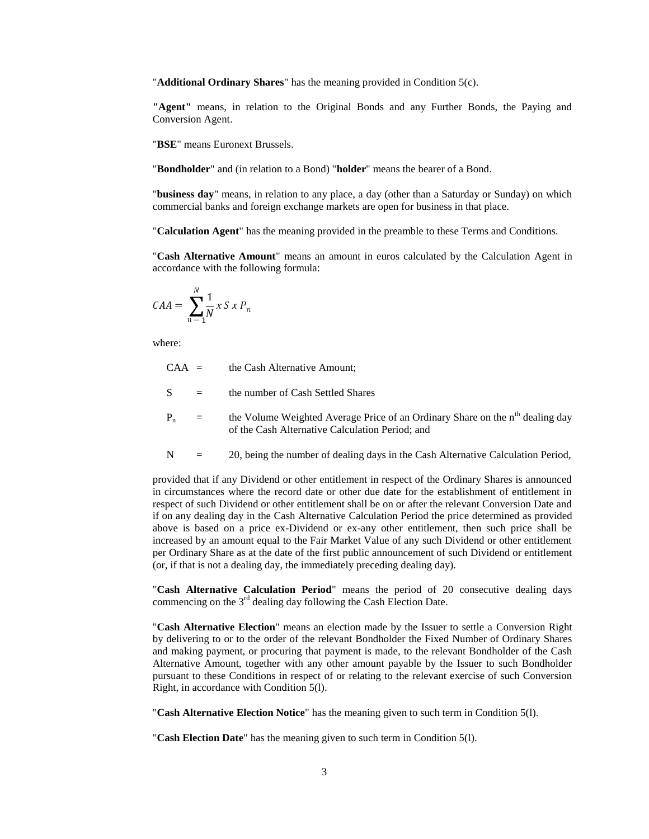"**Additional Ordinary Shares**" has the meaning provided in Condition [5\(c\).](#page-22-0)

**"Agent"** means, in relation to the Original Bonds and any Further Bonds, the Paying and Conversion Agent.

"**BSE**" means Euronext Brussels.

"**Bondholder**" and (in relation to a Bond) "**holder**" means the bearer of a Bond.

"**business day**" means, in relation to any place, a day (other than a Saturday or Sunday) on which commercial banks and foreign exchange markets are open for business in that place.

"**Calculation Agent**" has the meaning provided in the preamble to these Terms and Conditions.

"**Cash Alternative Amount**" means an amount in euros calculated by the Calculation Agent in accordance with the following formula:

$$
CAA = \sum_{n=1}^{N} \frac{1}{N} x S x P_n
$$

where:

 $CAA =$  the Cash Alternative Amount;

 $S =$  the number of Cash Settled Shares

- $P_n$  = the Volume Weighted Average Price of an Ordinary Share on the n<sup>th</sup> dealing day of the Cash Alternative Calculation Period; and
- N = 20, being the number of dealing days in the Cash Alternative Calculation Period,

provided that if any Dividend or other entitlement in respect of the Ordinary Shares is announced in circumstances where the record date or other due date for the establishment of entitlement in respect of such Dividend or other entitlement shall be on or after the relevant Conversion Date and if on any dealing day in the Cash Alternative Calculation Period the price determined as provided above is based on a price ex-Dividend or ex-any other entitlement, then such price shall be increased by an amount equal to the Fair Market Value of any such Dividend or other entitlement per Ordinary Share as at the date of the first public announcement of such Dividend or entitlement (or, if that is not a dealing day, the immediately preceding dealing day).

"**Cash Alternative Calculation Period**" means the period of 20 consecutive dealing days commencing on the  $3<sup>rd</sup>$  dealing day following the Cash Election Date.

"**Cash Alternative Election**" means an election made by the Issuer to settle a Conversion Right by delivering to or to the order of the relevant Bondholder the Fixed Number of Ordinary Shares and making payment, or procuring that payment is made, to the relevant Bondholder of the Cash Alternative Amount, together with any other amount payable by the Issuer to such Bondholder pursuant to these Conditions in respect of or relating to the relevant exercise of such Conversion Right, in accordance with Condition [5\(l\).](#page-26-0)

"**Cash Alternative Election Notice**" has the meaning given to such term in Condition [5\(l\).](#page-26-0)

"**Cash Election Date**" has the meaning given to such term in Condition [5\(l\).](#page-26-0)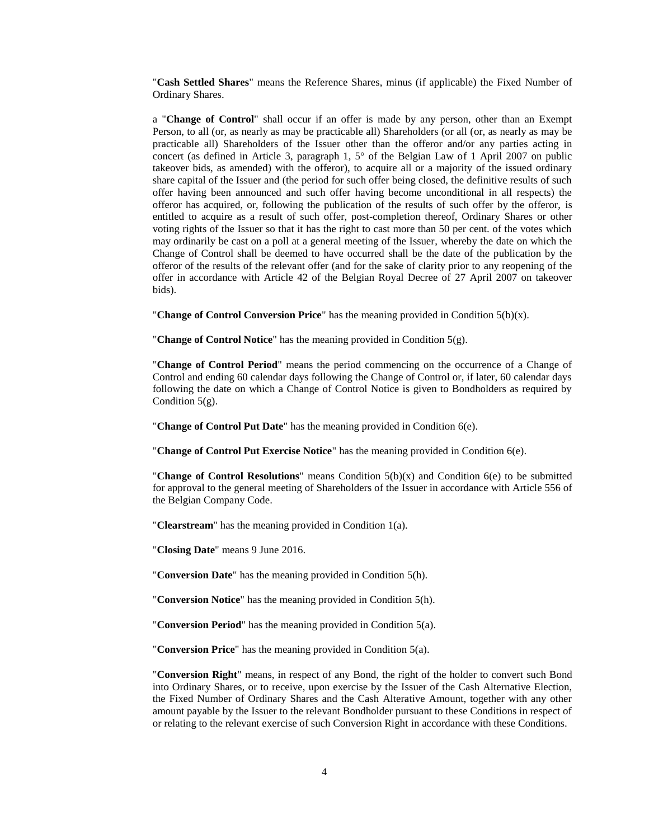"**Cash Settled Shares**" means the Reference Shares, minus (if applicable) the Fixed Number of Ordinary Shares.

a "**Change of Control**" shall occur if an offer is made by any person, other than an Exempt Person, to all (or, as nearly as may be practicable all) Shareholders (or all (or, as nearly as may be practicable all) Shareholders of the Issuer other than the offeror and/or any parties acting in concert (as defined in Article 3, paragraph 1, 5° of the Belgian Law of 1 April 2007 on public takeover bids, as amended) with the offeror), to acquire all or a majority of the issued ordinary share capital of the Issuer and (the period for such offer being closed, the definitive results of such offer having been announced and such offer having become unconditional in all respects) the offeror has acquired, or, following the publication of the results of such offer by the offeror, is entitled to acquire as a result of such offer, post-completion thereof, Ordinary Shares or other voting rights of the Issuer so that it has the right to cast more than 50 per cent. of the votes which may ordinarily be cast on a poll at a general meeting of the Issuer, whereby the date on which the Change of Control shall be deemed to have occurred shall be the date of the publication by the offeror of the results of the relevant offer (and for the sake of clarity prior to any reopening of the offer in accordance with Article 42 of the Belgian Royal Decree of 27 April 2007 on takeover bids).

"**Change of Control Conversion Price**" has the meaning provided in Condition [5\(b\)\(](#page-13-0)x).

"**Change of Control Notice**" has the meaning provided in Condition [5\(g\).](#page-23-0)

"**Change of Control Period**" means the period commencing on the occurrence of a Change of Control and ending 60 calendar days following the Change of Control or, if later, 60 calendar days following the date on which a Change of Control Notice is given to Bondholders as required by Condition  $5(g)$ .

"**Change of Control Put Date**" has the meaning provided in Condition [6\(e\).](#page-28-0)

"**Change of Control Put Exercise Notice**" has the meaning provided in Condition [6\(e\).](#page-28-0)

"**Change of Control Resolutions**" means Condition 5(b)(x) and Condition 6(e) to be submitted for approval to the general meeting of Shareholders of the Issuer in accordance with Article 556 of the Belgian Company Code.

"**Clearstream**" has the meaning provided in Condition [1\(a\).](#page-0-0)

"**Closing Date**" means 9 June 2016.

"**Conversion Date**" has the meaning provided in Condition [5\(h\).](#page-24-0)

"**Conversion Notice**" has the meaning provided in Condition [5\(h\).](#page-24-0)

"**Conversion Period**" has the meaning provided in Condition [5\(a\).](#page-12-0)

"**Conversion Price**" has the meaning provided in Condition [5\(a\).](#page-12-0)

"**Conversion Right**" means, in respect of any Bond, the right of the holder to convert such Bond into Ordinary Shares, or to receive, upon exercise by the Issuer of the Cash Alternative Election, the Fixed Number of Ordinary Shares and the Cash Alterative Amount, together with any other amount payable by the Issuer to the relevant Bondholder pursuant to these Conditions in respect of or relating to the relevant exercise of such Conversion Right in accordance with these Conditions.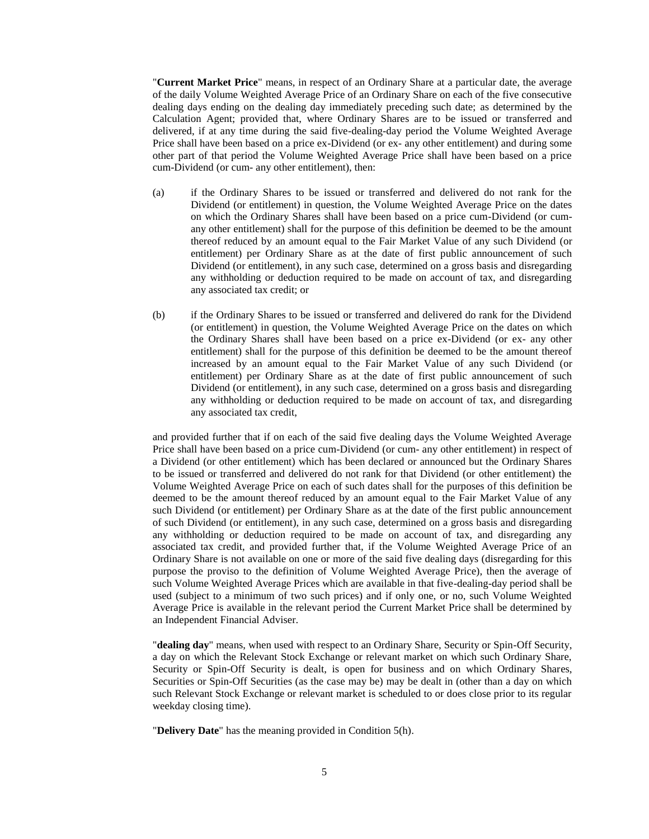"**Current Market Price**" means, in respect of an Ordinary Share at a particular date, the average of the daily Volume Weighted Average Price of an Ordinary Share on each of the five consecutive dealing days ending on the dealing day immediately preceding such date; as determined by the Calculation Agent; provided that, where Ordinary Shares are to be issued or transferred and delivered, if at any time during the said five-dealing-day period the Volume Weighted Average Price shall have been based on a price ex-Dividend (or ex- any other entitlement) and during some other part of that period the Volume Weighted Average Price shall have been based on a price cum-Dividend (or cum- any other entitlement), then:

- (a) if the Ordinary Shares to be issued or transferred and delivered do not rank for the Dividend (or entitlement) in question, the Volume Weighted Average Price on the dates on which the Ordinary Shares shall have been based on a price cum-Dividend (or cumany other entitlement) shall for the purpose of this definition be deemed to be the amount thereof reduced by an amount equal to the Fair Market Value of any such Dividend (or entitlement) per Ordinary Share as at the date of first public announcement of such Dividend (or entitlement), in any such case, determined on a gross basis and disregarding any withholding or deduction required to be made on account of tax, and disregarding any associated tax credit; or
- (b) if the Ordinary Shares to be issued or transferred and delivered do rank for the Dividend (or entitlement) in question, the Volume Weighted Average Price on the dates on which the Ordinary Shares shall have been based on a price ex-Dividend (or ex- any other entitlement) shall for the purpose of this definition be deemed to be the amount thereof increased by an amount equal to the Fair Market Value of any such Dividend (or entitlement) per Ordinary Share as at the date of first public announcement of such Dividend (or entitlement), in any such case, determined on a gross basis and disregarding any withholding or deduction required to be made on account of tax, and disregarding any associated tax credit,

and provided further that if on each of the said five dealing days the Volume Weighted Average Price shall have been based on a price cum-Dividend (or cum- any other entitlement) in respect of a Dividend (or other entitlement) which has been declared or announced but the Ordinary Shares to be issued or transferred and delivered do not rank for that Dividend (or other entitlement) the Volume Weighted Average Price on each of such dates shall for the purposes of this definition be deemed to be the amount thereof reduced by an amount equal to the Fair Market Value of any such Dividend (or entitlement) per Ordinary Share as at the date of the first public announcement of such Dividend (or entitlement), in any such case, determined on a gross basis and disregarding any withholding or deduction required to be made on account of tax, and disregarding any associated tax credit, and provided further that, if the Volume Weighted Average Price of an Ordinary Share is not available on one or more of the said five dealing days (disregarding for this purpose the proviso to the definition of Volume Weighted Average Price), then the average of such Volume Weighted Average Prices which are available in that five-dealing-day period shall be used (subject to a minimum of two such prices) and if only one, or no, such Volume Weighted Average Price is available in the relevant period the Current Market Price shall be determined by an Independent Financial Adviser.

"**dealing day**" means, when used with respect to an Ordinary Share, Security or Spin-Off Security, a day on which the Relevant Stock Exchange or relevant market on which such Ordinary Share, Security or Spin-Off Security is dealt, is open for business and on which Ordinary Shares, Securities or Spin-Off Securities (as the case may be) may be dealt in (other than a day on which such Relevant Stock Exchange or relevant market is scheduled to or does close prior to its regular weekday closing time).

"**Delivery Date**" has the meaning provided in Condition [5\(h\).](#page-24-0)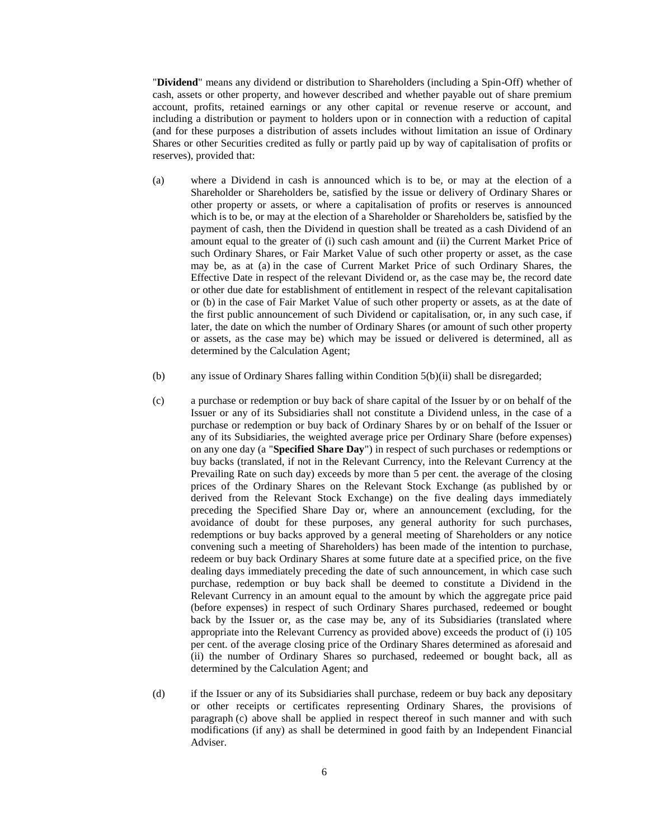"**Dividend**" means any dividend or distribution to Shareholders (including a Spin-Off) whether of cash, assets or other property, and however described and whether payable out of share premium account, profits, retained earnings or any other capital or revenue reserve or account, and including a distribution or payment to holders upon or in connection with a reduction of capital (and for these purposes a distribution of assets includes without limitation an issue of Ordinary Shares or other Securities credited as fully or partly paid up by way of capitalisation of profits or reserves), provided that:

- (a) where a Dividend in cash is announced which is to be, or may at the election of a Shareholder or Shareholders be, satisfied by the issue or delivery of Ordinary Shares or other property or assets, or where a capitalisation of profits or reserves is announced which is to be, or may at the election of a Shareholder or Shareholders be, satisfied by the payment of cash, then the Dividend in question shall be treated as a cash Dividend of an amount equal to the greater of (i) such cash amount and (ii) the Current Market Price of such Ordinary Shares, or Fair Market Value of such other property or asset, as the case may be, as at (a) in the case of Current Market Price of such Ordinary Shares, the Effective Date in respect of the relevant Dividend or, as the case may be, the record date or other due date for establishment of entitlement in respect of the relevant capitalisation or (b) in the case of Fair Market Value of such other property or assets, as at the date of the first public announcement of such Dividend or capitalisation, or, in any such case, if later, the date on which the number of Ordinary Shares (or amount of such other property or assets, as the case may be) which may be issued or delivered is determined, all as determined by the Calculation Agent;
- (b) any issue of Ordinary Shares falling within Condition [5\(b\)\(](#page-13-0)ii) shall be disregarded;
- (c) a purchase or redemption or buy back of share capital of the Issuer by or on behalf of the Issuer or any of its Subsidiaries shall not constitute a Dividend unless, in the case of a purchase or redemption or buy back of Ordinary Shares by or on behalf of the Issuer or any of its Subsidiaries, the weighted average price per Ordinary Share (before expenses) on any one day (a "**Specified Share Day**") in respect of such purchases or redemptions or buy backs (translated, if not in the Relevant Currency, into the Relevant Currency at the Prevailing Rate on such day) exceeds by more than 5 per cent. the average of the closing prices of the Ordinary Shares on the Relevant Stock Exchange (as published by or derived from the Relevant Stock Exchange) on the five dealing days immediately preceding the Specified Share Day or, where an announcement (excluding, for the avoidance of doubt for these purposes, any general authority for such purchases, redemptions or buy backs approved by a general meeting of Shareholders or any notice convening such a meeting of Shareholders) has been made of the intention to purchase, redeem or buy back Ordinary Shares at some future date at a specified price, on the five dealing days immediately preceding the date of such announcement, in which case such purchase, redemption or buy back shall be deemed to constitute a Dividend in the Relevant Currency in an amount equal to the amount by which the aggregate price paid (before expenses) in respect of such Ordinary Shares purchased, redeemed or bought back by the Issuer or, as the case may be, any of its Subsidiaries (translated where appropriate into the Relevant Currency as provided above) exceeds the product of (i) 105 per cent. of the average closing price of the Ordinary Shares determined as aforesaid and (ii) the number of Ordinary Shares so purchased, redeemed or bought back, all as determined by the Calculation Agent; and
- (d) if the Issuer or any of its Subsidiaries shall purchase, redeem or buy back any depositary or other receipts or certificates representing Ordinary Shares, the provisions of paragraph (c) above shall be applied in respect thereof in such manner and with such modifications (if any) as shall be determined in good faith by an Independent Financial Adviser.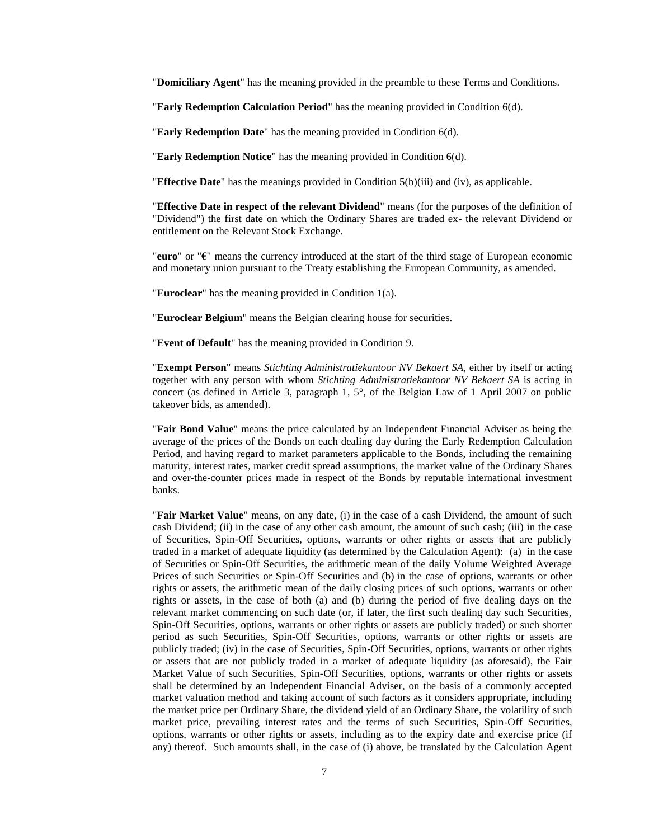"**Domiciliary Agent**" has the meaning provided in the preamble to these Terms and Conditions.

"**Early Redemption Calculation Period**" has the meaning provided in Condition 6(d).

"**Early Redemption Date**" has the meaning provided in Condition 6(d).

"**Early Redemption Notice**" has the meaning provided in Condition 6(d).

"**Effective Date**" has the meanings provided in Condition [5\(b\)\(](#page-13-0)iii) and (iv), as applicable.

"**Effective Date in respect of the relevant Dividend**" means (for the purposes of the definition of "Dividend") the first date on which the Ordinary Shares are traded ex- the relevant Dividend or entitlement on the Relevant Stock Exchange.

"**euro**" or "**€**" means the currency introduced at the start of the third stage of European economic and monetary union pursuant to the Treaty establishing the European Community, as amended.

"**Euroclear**" has the meaning provided in Condition [1\(a\).](#page-0-0)

"**Euroclear Belgium**" means the Belgian clearing house for securities.

"**Event of Default**" has the meaning provided in Condition [9.](#page-31-0)

"**Exempt Person**" means *Stichting Administratiekantoor NV Bekaert SA*, either by itself or acting together with any person with whom *Stichting Administratiekantoor NV Bekaert SA* is acting in concert (as defined in Article 3, paragraph 1, 5°, of the Belgian Law of 1 April 2007 on public takeover bids, as amended).

"**Fair Bond Value**" means the price calculated by an Independent Financial Adviser as being the average of the prices of the Bonds on each dealing day during the Early Redemption Calculation Period, and having regard to market parameters applicable to the Bonds, including the remaining maturity, interest rates, market credit spread assumptions, the market value of the Ordinary Shares and over-the-counter prices made in respect of the Bonds by reputable international investment banks.

"**Fair Market Value**" means, on any date, (i) in the case of a cash Dividend, the amount of such cash Dividend; (ii) in the case of any other cash amount, the amount of such cash; (iii) in the case of Securities, Spin-Off Securities, options, warrants or other rights or assets that are publicly traded in a market of adequate liquidity (as determined by the Calculation Agent): (a) in the case of Securities or Spin-Off Securities, the arithmetic mean of the daily Volume Weighted Average Prices of such Securities or Spin-Off Securities and (b) in the case of options, warrants or other rights or assets, the arithmetic mean of the daily closing prices of such options, warrants or other rights or assets, in the case of both (a) and (b) during the period of five dealing days on the relevant market commencing on such date (or, if later, the first such dealing day such Securities, Spin-Off Securities, options, warrants or other rights or assets are publicly traded) or such shorter period as such Securities, Spin-Off Securities, options, warrants or other rights or assets are publicly traded; (iv) in the case of Securities, Spin-Off Securities, options, warrants or other rights or assets that are not publicly traded in a market of adequate liquidity (as aforesaid), the Fair Market Value of such Securities, Spin-Off Securities, options, warrants or other rights or assets shall be determined by an Independent Financial Adviser, on the basis of a commonly accepted market valuation method and taking account of such factors as it considers appropriate, including the market price per Ordinary Share, the dividend yield of an Ordinary Share, the volatility of such market price, prevailing interest rates and the terms of such Securities, Spin-Off Securities, options, warrants or other rights or assets, including as to the expiry date and exercise price (if any) thereof. Such amounts shall, in the case of (i) above, be translated by the Calculation Agent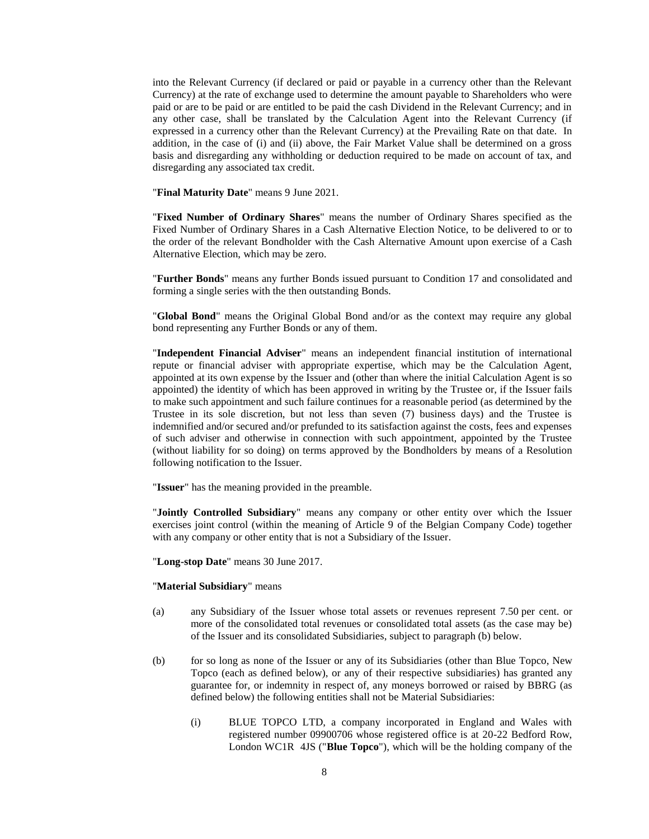into the Relevant Currency (if declared or paid or payable in a currency other than the Relevant Currency) at the rate of exchange used to determine the amount payable to Shareholders who were paid or are to be paid or are entitled to be paid the cash Dividend in the Relevant Currency; and in any other case, shall be translated by the Calculation Agent into the Relevant Currency (if expressed in a currency other than the Relevant Currency) at the Prevailing Rate on that date. In addition, in the case of (i) and (ii) above, the Fair Market Value shall be determined on a gross basis and disregarding any withholding or deduction required to be made on account of tax, and disregarding any associated tax credit.

"**Final Maturity Date**" means 9 June 2021.

"**Fixed Number of Ordinary Shares**" means the number of Ordinary Shares specified as the Fixed Number of Ordinary Shares in a Cash Alternative Election Notice, to be delivered to or to the order of the relevant Bondholder with the Cash Alternative Amount upon exercise of a Cash Alternative Election, which may be zero.

"**Further Bonds**" means any further Bonds issued pursuant to Condition [17](#page-39-0) and consolidated and forming a single series with the then outstanding Bonds.

"**Global Bond**" means the Original Global Bond and/or as the context may require any global bond representing any Further Bonds or any of them.

"**Independent Financial Adviser**" means an independent financial institution of international repute or financial adviser with appropriate expertise, which may be the Calculation Agent, appointed at its own expense by the Issuer and (other than where the initial Calculation Agent is so appointed) the identity of which has been approved in writing by the Trustee or, if the Issuer fails to make such appointment and such failure continues for a reasonable period (as determined by the Trustee in its sole discretion, but not less than seven (7) business days) and the Trustee is indemnified and/or secured and/or prefunded to its satisfaction against the costs, fees and expenses of such adviser and otherwise in connection with such appointment, appointed by the Trustee (without liability for so doing) on terms approved by the Bondholders by means of a Resolution following notification to the Issuer.

"**Issuer**" has the meaning provided in the preamble.

"**Jointly Controlled Subsidiary**" means any company or other entity over which the Issuer exercises joint control (within the meaning of Article 9 of the Belgian Company Code) together with any company or other entity that is not a Subsidiary of the Issuer.

"**Long-stop Date**" means 30 June 2017.

### "**Material Subsidiary**" means

- (a) any Subsidiary of the Issuer whose total assets or revenues represent 7.50 per cent. or more of the consolidated total revenues or consolidated total assets (as the case may be) of the Issuer and its consolidated Subsidiaries, subject to paragraph (b) below.
- (b) for so long as none of the Issuer or any of its Subsidiaries (other than Blue Topco, New Topco (each as defined below), or any of their respective subsidiaries) has granted any guarantee for, or indemnity in respect of, any moneys borrowed or raised by BBRG (as defined below) the following entities shall not be Material Subsidiaries:
	- (i) BLUE TOPCO LTD, a company incorporated in England and Wales with registered number 09900706 whose registered office is at 20-22 Bedford Row, London WC1R 4JS ("**Blue Topco**"), which will be the holding company of the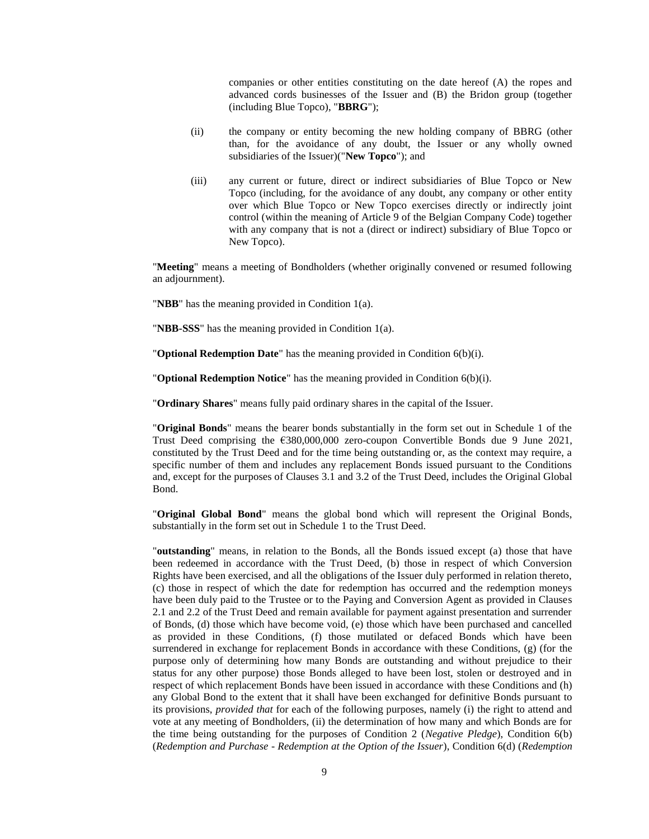companies or other entities constituting on the date hereof (A) the ropes and advanced cords businesses of the Issuer and (B) the Bridon group (together (including Blue Topco), "**BBRG**");

- (ii) the company or entity becoming the new holding company of BBRG (other than, for the avoidance of any doubt, the Issuer or any wholly owned subsidiaries of the Issuer)("**New Topco**"); and
- (iii) any current or future, direct or indirect subsidiaries of Blue Topco or New Topco (including, for the avoidance of any doubt, any company or other entity over which Blue Topco or New Topco exercises directly or indirectly joint control (within the meaning of Article 9 of the Belgian Company Code) together with any company that is not a (direct or indirect) subsidiary of Blue Topco or New Topco).

"**Meeting**" means a meeting of Bondholders (whether originally convened or resumed following an adjournment).

"**NBB**" has the meaning provided in Condition [1\(a\).](#page-0-0)

"**NBB-SSS**" has the meaning provided in Condition [1\(a\).](#page-0-0)

"**Optional Redemption Date**" has the meaning provided in Condition [6\(b\)\(](#page-27-0)i).

"**Optional Redemption Notice**" has the meaning provided in Condition [6\(b\)\(](#page-27-0)i).

"**Ordinary Shares**" means fully paid ordinary shares in the capital of the Issuer.

"**Original Bonds**" means the bearer bonds substantially in the form set out in Schedule 1 of the Trust Deed comprising the €380,000,000 zero-coupon Convertible Bonds due 9 June 2021, constituted by the Trust Deed and for the time being outstanding or, as the context may require, a specific number of them and includes any replacement Bonds issued pursuant to the Conditions and, except for the purposes of Clauses 3.1 and 3.2 of the Trust Deed, includes the Original Global Bond.

"**Original Global Bond**" means the global bond which will represent the Original Bonds, substantially in the form set out in Schedule 1 to the Trust Deed.

"**outstanding**" means, in relation to the Bonds, all the Bonds issued except (a) those that have been redeemed in accordance with the Trust Deed, (b) those in respect of which Conversion Rights have been exercised, and all the obligations of the Issuer duly performed in relation thereto, (c) those in respect of which the date for redemption has occurred and the redemption moneys have been duly paid to the Trustee or to the Paying and Conversion Agent as provided in Clauses 2.1 and 2.2 of the Trust Deed and remain available for payment against presentation and surrender of Bonds, (d) those which have become void, (e) those which have been purchased and cancelled as provided in these Conditions, (f) those mutilated or defaced Bonds which have been surrendered in exchange for replacement Bonds in accordance with these Conditions, (g) (for the purpose only of determining how many Bonds are outstanding and without prejudice to their status for any other purpose) those Bonds alleged to have been lost, stolen or destroyed and in respect of which replacement Bonds have been issued in accordance with these Conditions and (h) any Global Bond to the extent that it shall have been exchanged for definitive Bonds pursuant to its provisions, *provided that* for each of the following purposes, namely (i) the right to attend and vote at any meeting of Bondholders, (ii) the determination of how many and which Bonds are for the time being outstanding for the purposes of Condition 2 (*Negative Pledge*), Condition 6(b) (*Redemption and Purchase - Redemption at the Option of the Issuer*), Condition 6(d) (*Redemption*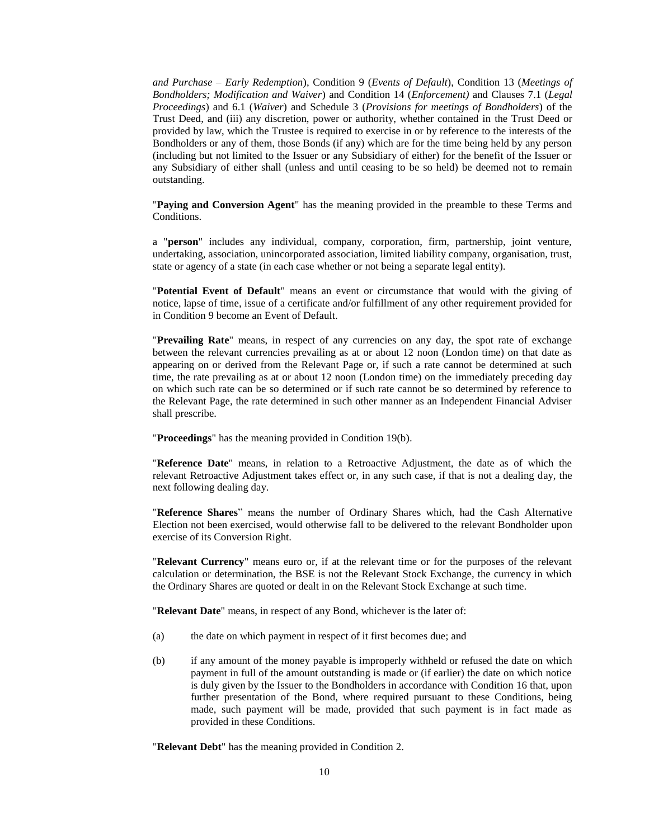*and Purchase – Early Redemption*), Condition 9 (*Events of Default*), Condition 13 (*Meetings of Bondholders; Modification and Waiver*) and Condition 14 (*Enforcement)* and Clauses 7.1 (*Legal Proceedings*) and 6.1 (*Waiver*) and Schedule 3 (*Provisions for meetings of Bondholders*) of the Trust Deed, and (iii) any discretion, power or authority, whether contained in the Trust Deed or provided by law, which the Trustee is required to exercise in or by reference to the interests of the Bondholders or any of them, those Bonds (if any) which are for the time being held by any person (including but not limited to the Issuer or any Subsidiary of either) for the benefit of the Issuer or any Subsidiary of either shall (unless and until ceasing to be so held) be deemed not to remain outstanding.

"**Paying and Conversion Agent**" has the meaning provided in the preamble to these Terms and Conditions.

a "**person**" includes any individual, company, corporation, firm, partnership, joint venture, undertaking, association, unincorporated association, limited liability company, organisation, trust, state or agency of a state (in each case whether or not being a separate legal entity).

"**Potential Event of Default**" means an event or circumstance that would with the giving of notice, lapse of time, issue of a certificate and/or fulfillment of any other requirement provided for in Condition [9](#page-31-0) become an Event of Default.

"**Prevailing Rate**" means, in respect of any currencies on any day, the spot rate of exchange between the relevant currencies prevailing as at or about 12 noon (London time) on that date as appearing on or derived from the Relevant Page or, if such a rate cannot be determined at such time, the rate prevailing as at or about 12 noon (London time) on the immediately preceding day on which such rate can be so determined or if such rate cannot be so determined by reference to the Relevant Page, the rate determined in such other manner as an Independent Financial Adviser shall prescribe.

"**Proceedings**" has the meaning provided in Condition [19\(b\).](#page-39-1)

"**Reference Date**" means, in relation to a Retroactive Adjustment, the date as of which the relevant Retroactive Adjustment takes effect or, in any such case, if that is not a dealing day, the next following dealing day.

"**Reference Shares**" means the number of Ordinary Shares which, had the Cash Alternative Election not been exercised, would otherwise fall to be delivered to the relevant Bondholder upon exercise of its Conversion Right.

"**Relevant Currency**" means euro or, if at the relevant time or for the purposes of the relevant calculation or determination, the BSE is not the Relevant Stock Exchange, the currency in which the Ordinary Shares are quoted or dealt in on the Relevant Stock Exchange at such time.

"**Relevant Date**" means, in respect of any Bond, whichever is the later of:

- (a) the date on which payment in respect of it first becomes due; and
- (b) if any amount of the money payable is improperly withheld or refused the date on which payment in full of the amount outstanding is made or (if earlier) the date on which notice is duly given by the Issuer to the Bondholders in accordance with Condition [16](#page-38-0) that, upon further presentation of the Bond, where required pursuant to these Conditions, being made, such payment will be made, provided that such payment is in fact made as provided in these Conditions.

"**Relevant Debt**" has the meaning provided in Condition [2.](#page-1-0)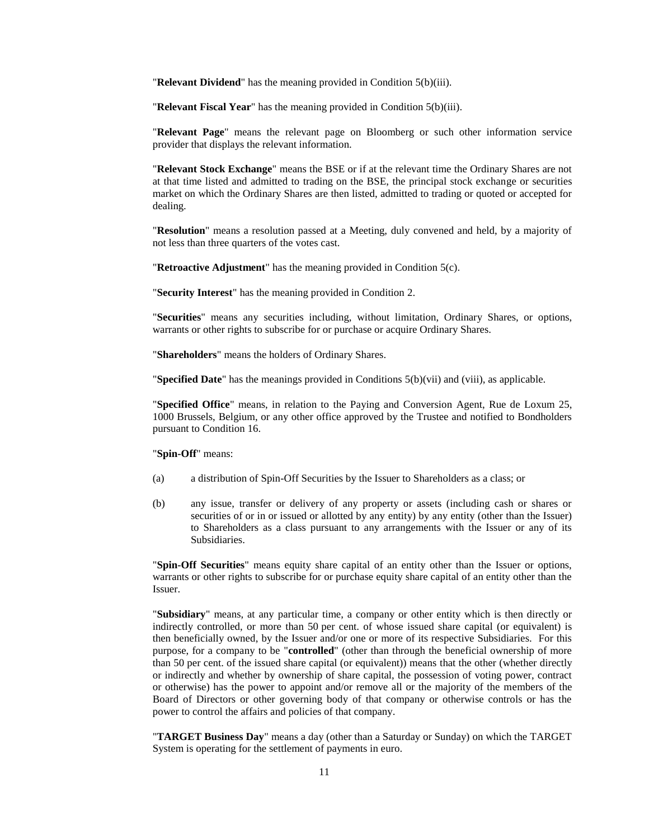"**Relevant Dividend**" has the meaning provided in Condition [5\(b\)\(](#page-13-0)iii).

"**Relevant Fiscal Year**" has the meaning provided in Condition [5\(b\)\(](#page-13-0)iii).

"**Relevant Page**" means the relevant page on Bloomberg or such other information service provider that displays the relevant information.

"**Relevant Stock Exchange**" means the BSE or if at the relevant time the Ordinary Shares are not at that time listed and admitted to trading on the BSE, the principal stock exchange or securities market on which the Ordinary Shares are then listed, admitted to trading or quoted or accepted for dealing.

"**Resolution**" means a resolution passed at a Meeting, duly convened and held, by a majority of not less than three quarters of the votes cast.

"**Retroactive Adjustment**" has the meaning provided in Condition [5\(c\).](#page-22-0)

"**Security Interest**" has the meaning provided in Condition [2.](#page-1-0)

"**Securities**" means any securities including, without limitation, Ordinary Shares, or options, warrants or other rights to subscribe for or purchase or acquire Ordinary Shares.

"**Shareholders**" means the holders of Ordinary Shares.

"**Specified Date**" has the meanings provided in Conditions [5\(b\)\(](#page-13-0)vii) and (viii), as applicable.

"**Specified Office**" means, in relation to the Paying and Conversion Agent, Rue de Loxum 25, 1000 Brussels, Belgium, or any other office approved by the Trustee and notified to Bondholders pursuant to Condition 16.

## "**Spin-Off**" means:

- (a) a distribution of Spin-Off Securities by the Issuer to Shareholders as a class; or
- (b) any issue, transfer or delivery of any property or assets (including cash or shares or securities of or in or issued or allotted by any entity) by any entity (other than the Issuer) to Shareholders as a class pursuant to any arrangements with the Issuer or any of its Subsidiaries.

"**Spin-Off Securities**" means equity share capital of an entity other than the Issuer or options, warrants or other rights to subscribe for or purchase equity share capital of an entity other than the Issuer.

"**Subsidiary**" means, at any particular time, a company or other entity which is then directly or indirectly controlled, or more than 50 per cent. of whose issued share capital (or equivalent) is then beneficially owned, by the Issuer and/or one or more of its respective Subsidiaries. For this purpose, for a company to be "**controlled**" (other than through the beneficial ownership of more than 50 per cent. of the issued share capital (or equivalent)) means that the other (whether directly or indirectly and whether by ownership of share capital, the possession of voting power, contract or otherwise) has the power to appoint and/or remove all or the majority of the members of the Board of Directors or other governing body of that company or otherwise controls or has the power to control the affairs and policies of that company.

"**TARGET Business Day**" means a day (other than a Saturday or Sunday) on which the TARGET System is operating for the settlement of payments in euro.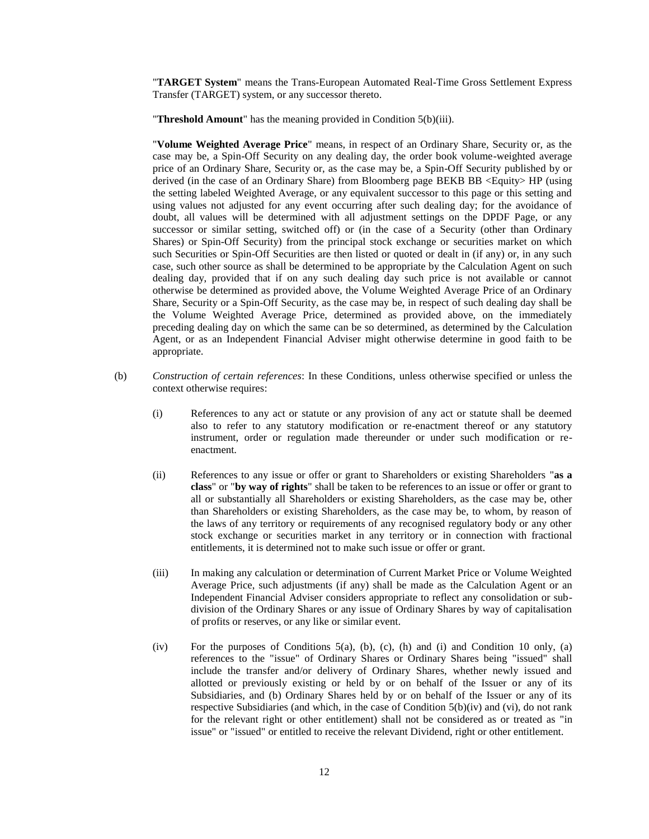"**TARGET System**" means the Trans-European Automated Real-Time Gross Settlement Express Transfer (TARGET) system, or any successor thereto.

"**Threshold Amount**" has the meaning provided in Condition [5\(b\)\(](#page-13-0)iii).

"**Volume Weighted Average Price**" means, in respect of an Ordinary Share, Security or, as the case may be, a Spin-Off Security on any dealing day, the order book volume-weighted average price of an Ordinary Share, Security or, as the case may be, a Spin-Off Security published by or derived (in the case of an Ordinary Share) from Bloomberg page BEKB BB <Equity> HP (using the setting labeled Weighted Average, or any equivalent successor to this page or this setting and using values not adjusted for any event occurring after such dealing day; for the avoidance of doubt, all values will be determined with all adjustment settings on the DPDF Page, or any successor or similar setting, switched off) or (in the case of a Security (other than Ordinary Shares) or Spin-Off Security) from the principal stock exchange or securities market on which such Securities or Spin-Off Securities are then listed or quoted or dealt in (if any) or, in any such case, such other source as shall be determined to be appropriate by the Calculation Agent on such dealing day, provided that if on any such dealing day such price is not available or cannot otherwise be determined as provided above, the Volume Weighted Average Price of an Ordinary Share, Security or a Spin-Off Security, as the case may be, in respect of such dealing day shall be the Volume Weighted Average Price, determined as provided above, on the immediately preceding dealing day on which the same can be so determined, as determined by the Calculation Agent, or as an Independent Financial Adviser might otherwise determine in good faith to be appropriate.

- (b) *Construction of certain references*: In these Conditions, unless otherwise specified or unless the context otherwise requires:
	- (i) References to any act or statute or any provision of any act or statute shall be deemed also to refer to any statutory modification or re-enactment thereof or any statutory instrument, order or regulation made thereunder or under such modification or reenactment.
	- (ii) References to any issue or offer or grant to Shareholders or existing Shareholders "**as a class**" or "**by way of rights**" shall be taken to be references to an issue or offer or grant to all or substantially all Shareholders or existing Shareholders, as the case may be, other than Shareholders or existing Shareholders, as the case may be, to whom, by reason of the laws of any territory or requirements of any recognised regulatory body or any other stock exchange or securities market in any territory or in connection with fractional entitlements, it is determined not to make such issue or offer or grant.
	- (iii) In making any calculation or determination of Current Market Price or Volume Weighted Average Price, such adjustments (if any) shall be made as the Calculation Agent or an Independent Financial Adviser considers appropriate to reflect any consolidation or subdivision of the Ordinary Shares or any issue of Ordinary Shares by way of capitalisation of profits or reserves, or any like or similar event.
	- (iv) For the purposes of Conditions  $5(a)$ , [\(b\),](#page-13-0) [\(c\),](#page-22-0) [\(h\)](#page-24-0) and [\(i\)](#page-25-0) and Condition [10](#page-32-0) only, (a) references to the "issue" of Ordinary Shares or Ordinary Shares being "issued" shall include the transfer and/or delivery of Ordinary Shares, whether newly issued and allotted or previously existing or held by or on behalf of the Issuer or any of its Subsidiaries, and (b) Ordinary Shares held by or on behalf of the Issuer or any of its respective Subsidiaries (and which, in the case of Condition [5\(b\)\(](#page-13-0)iv) and (vi), do not rank for the relevant right or other entitlement) shall not be considered as or treated as "in issue" or "issued" or entitled to receive the relevant Dividend, right or other entitlement.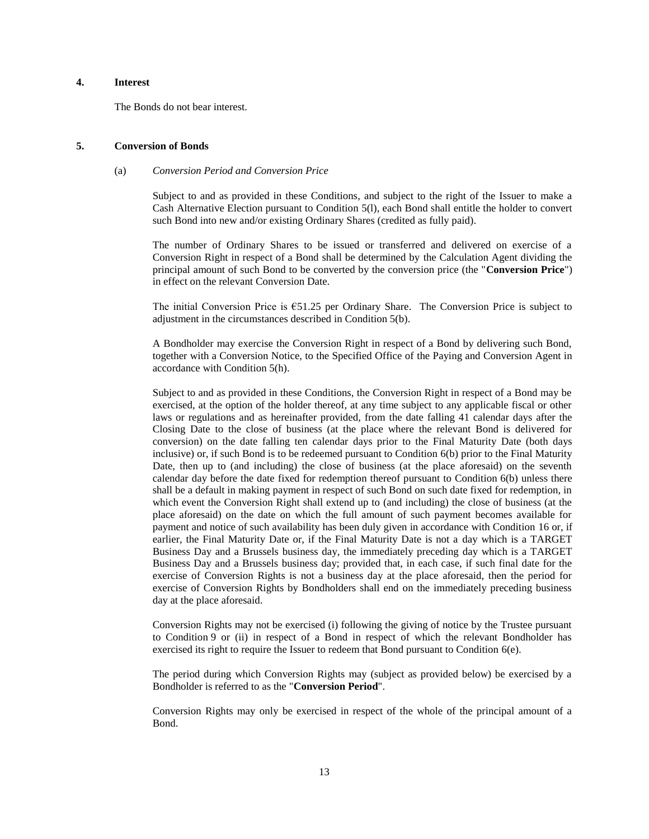# **4. Interest**

The Bonds do not bear interest.

## <span id="page-12-0"></span>**5. Conversion of Bonds**

### (a) *Conversion Period and Conversion Price*

Subject to and as provided in these Conditions, and subject to the right of the Issuer to make a Cash Alternative Election pursuant to Condition [5\(l\),](#page-26-0) each Bond shall entitle the holder to convert such Bond into new and/or existing Ordinary Shares (credited as fully paid).

The number of Ordinary Shares to be issued or transferred and delivered on exercise of a Conversion Right in respect of a Bond shall be determined by the Calculation Agent dividing the principal amount of such Bond to be converted by the conversion price (the "**Conversion Price**") in effect on the relevant Conversion Date.

The initial Conversion Price is €51.25 per Ordinary Share. The Conversion Price is subject to adjustment in the circumstances described in Condition [5\(b\).](#page-13-0)

A Bondholder may exercise the Conversion Right in respect of a Bond by delivering such Bond, together with a Conversion Notice, to the Specified Office of the Paying and Conversion Agent in accordance with Condition [5\(h\).](#page-24-0)

Subject to and as provided in these Conditions, the Conversion Right in respect of a Bond may be exercised, at the option of the holder thereof, at any time subject to any applicable fiscal or other laws or regulations and as hereinafter provided, from the date falling 41 calendar days after the Closing Date to the close of business (at the place where the relevant Bond is delivered for conversion) on the date falling ten calendar days prior to the Final Maturity Date (both days inclusive) or, if such Bond is to be redeemed pursuant to Condition [6\(b\)](#page-27-0) prior to the Final Maturity Date, then up to (and including) the close of business (at the place aforesaid) on the seventh calendar day before the date fixed for redemption thereof pursuant to Condition [6\(b\)](#page-27-0) unless there shall be a default in making payment in respect of such Bond on such date fixed for redemption, in which event the Conversion Right shall extend up to (and including) the close of business (at the place aforesaid) on the date on which the full amount of such payment becomes available for payment and notice of such availability has been duly given in accordance with Condition [16](#page-38-0) or, if earlier, the Final Maturity Date or, if the Final Maturity Date is not a day which is a TARGET Business Day and a Brussels business day, the immediately preceding day which is a TARGET Business Day and a Brussels business day; provided that, in each case, if such final date for the exercise of Conversion Rights is not a business day at the place aforesaid, then the period for exercise of Conversion Rights by Bondholders shall end on the immediately preceding business day at the place aforesaid.

Conversion Rights may not be exercised (i) following the giving of notice by the Trustee pursuant to Condition [9](#page-31-0) or (ii) in respect of a Bond in respect of which the relevant Bondholder has exercised its right to require the Issuer to redeem that Bond pursuant to Condition  $6(e)$ .

The period during which Conversion Rights may (subject as provided below) be exercised by a Bondholder is referred to as the "**Conversion Period**".

Conversion Rights may only be exercised in respect of the whole of the principal amount of a Bond.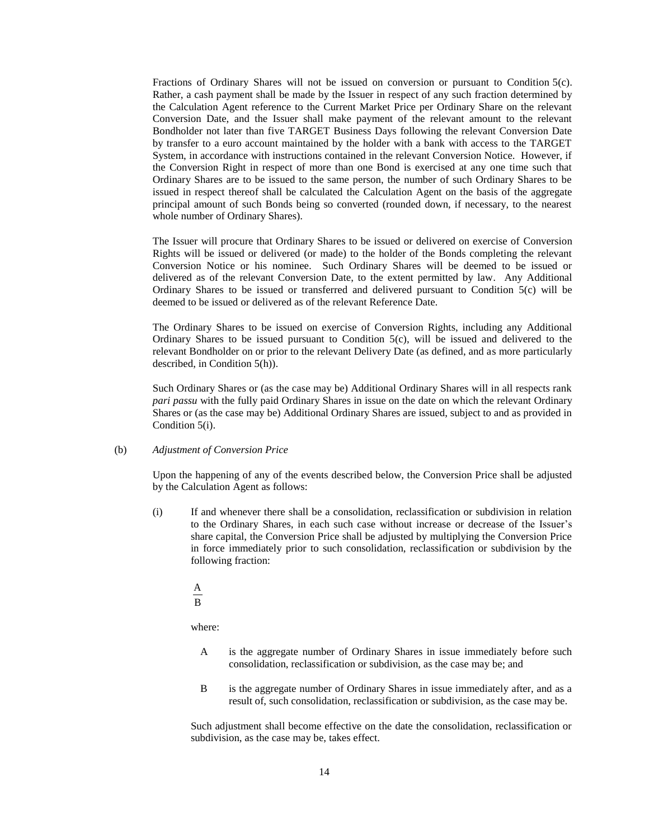Fractions of Ordinary Shares will not be issued on conversion or pursuant to Condition [5\(c\).](#page-22-0) Rather, a cash payment shall be made by the Issuer in respect of any such fraction determined by the Calculation Agent reference to the Current Market Price per Ordinary Share on the relevant Conversion Date, and the Issuer shall make payment of the relevant amount to the relevant Bondholder not later than five TARGET Business Days following the relevant Conversion Date by transfer to a euro account maintained by the holder with a bank with access to the TARGET System, in accordance with instructions contained in the relevant Conversion Notice. However, if the Conversion Right in respect of more than one Bond is exercised at any one time such that Ordinary Shares are to be issued to the same person, the number of such Ordinary Shares to be issued in respect thereof shall be calculated the Calculation Agent on the basis of the aggregate principal amount of such Bonds being so converted (rounded down, if necessary, to the nearest whole number of Ordinary Shares).

The Issuer will procure that Ordinary Shares to be issued or delivered on exercise of Conversion Rights will be issued or delivered (or made) to the holder of the Bonds completing the relevant Conversion Notice or his nominee. Such Ordinary Shares will be deemed to be issued or delivered as of the relevant Conversion Date, to the extent permitted by law. Any Additional Ordinary Shares to be issued or transferred and delivered pursuant to Condition [5\(c\)](#page-22-0) will be deemed to be issued or delivered as of the relevant Reference Date.

The Ordinary Shares to be issued on exercise of Conversion Rights, including any Additional Ordinary Shares to be issued pursuant to Condition  $5(c)$ , will be issued and delivered to the relevant Bondholder on or prior to the relevant Delivery Date (as defined, and as more particularly described, in Condition [5\(h\)\)](#page-24-0).

Such Ordinary Shares or (as the case may be) Additional Ordinary Shares will in all respects rank *pari passu* with the fully paid Ordinary Shares in issue on the date on which the relevant Ordinary Shares or (as the case may be) Additional Ordinary Shares are issued, subject to and as provided in Condition [5\(i\).](#page-25-0)

### <span id="page-13-0"></span>(b) *Adjustment of Conversion Price*

Upon the happening of any of the events described below, the Conversion Price shall be adjusted by the Calculation Agent as follows:

- (i) If and whenever there shall be a consolidation, reclassification or subdivision in relation to the Ordinary Shares, in each such case without increase or decrease of the Issuer's share capital, the Conversion Price shall be adjusted by multiplying the Conversion Price in force immediately prior to such consolidation, reclassification or subdivision by the following fraction:
	- B A

where:

- A is the aggregate number of Ordinary Shares in issue immediately before such consolidation, reclassification or subdivision, as the case may be; and
- B is the aggregate number of Ordinary Shares in issue immediately after, and as a result of, such consolidation, reclassification or subdivision, as the case may be.

Such adjustment shall become effective on the date the consolidation, reclassification or subdivision, as the case may be, takes effect.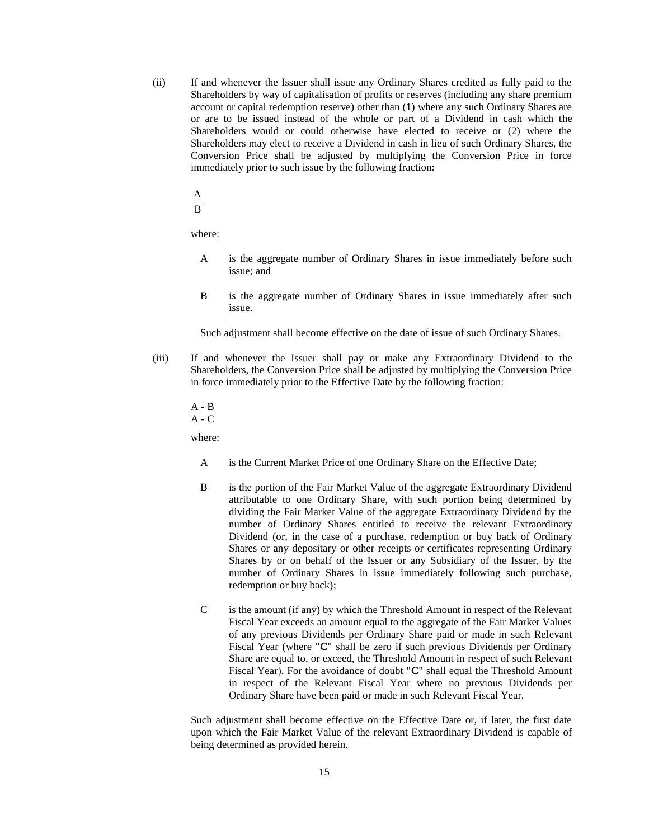- (ii) If and whenever the Issuer shall issue any Ordinary Shares credited as fully paid to the Shareholders by way of capitalisation of profits or reserves (including any share premium account or capital redemption reserve) other than (1) where any such Ordinary Shares are or are to be issued instead of the whole or part of a Dividend in cash which the Shareholders would or could otherwise have elected to receive or (2) where the Shareholders may elect to receive a Dividend in cash in lieu of such Ordinary Shares, the Conversion Price shall be adjusted by multiplying the Conversion Price in force immediately prior to such issue by the following fraction:
	- A

B

where:

- A is the aggregate number of Ordinary Shares in issue immediately before such issue; and
- B is the aggregate number of Ordinary Shares in issue immediately after such issue.

Such adjustment shall become effective on the date of issue of such Ordinary Shares.

(iii) If and whenever the Issuer shall pay or make any Extraordinary Dividend to the Shareholders, the Conversion Price shall be adjusted by multiplying the Conversion Price in force immediately prior to the Effective Date by the following fraction:

$$
\frac{A-B}{A-C}
$$

where:

- A is the Current Market Price of one Ordinary Share on the Effective Date;
- B is the portion of the Fair Market Value of the aggregate Extraordinary Dividend attributable to one Ordinary Share, with such portion being determined by dividing the Fair Market Value of the aggregate Extraordinary Dividend by the number of Ordinary Shares entitled to receive the relevant Extraordinary Dividend (or, in the case of a purchase, redemption or buy back of Ordinary Shares or any depositary or other receipts or certificates representing Ordinary Shares by or on behalf of the Issuer or any Subsidiary of the Issuer, by the number of Ordinary Shares in issue immediately following such purchase, redemption or buy back);
- C is the amount (if any) by which the Threshold Amount in respect of the Relevant Fiscal Year exceeds an amount equal to the aggregate of the Fair Market Values of any previous Dividends per Ordinary Share paid or made in such Relevant Fiscal Year (where "**C**" shall be zero if such previous Dividends per Ordinary Share are equal to, or exceed, the Threshold Amount in respect of such Relevant Fiscal Year). For the avoidance of doubt "**C**" shall equal the Threshold Amount in respect of the Relevant Fiscal Year where no previous Dividends per Ordinary Share have been paid or made in such Relevant Fiscal Year.

Such adjustment shall become effective on the Effective Date or, if later, the first date upon which the Fair Market Value of the relevant Extraordinary Dividend is capable of being determined as provided herein.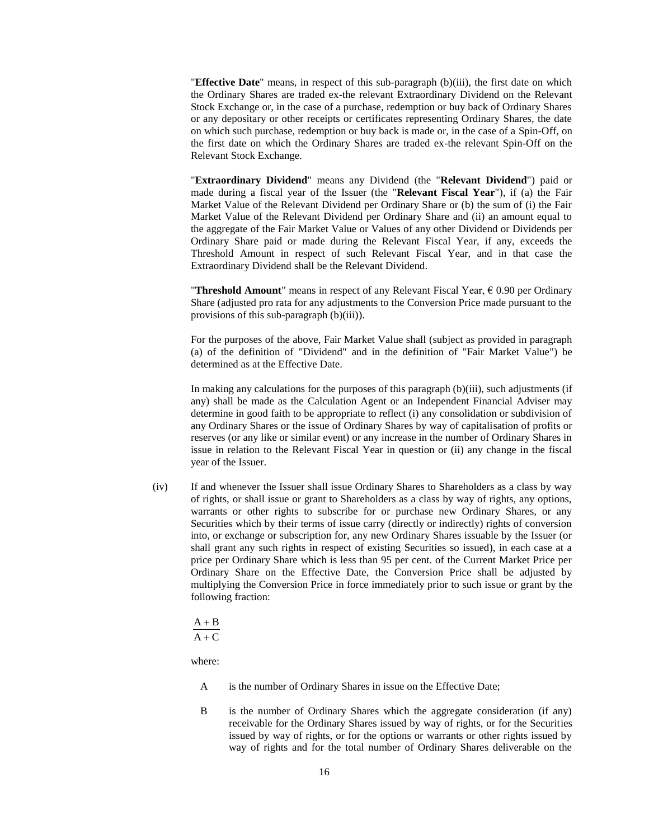"**Effective Date**" means, in respect of this sub-paragraph (b)(iii), the first date on which the Ordinary Shares are traded ex-the relevant Extraordinary Dividend on the Relevant Stock Exchange or, in the case of a purchase, redemption or buy back of Ordinary Shares or any depositary or other receipts or certificates representing Ordinary Shares, the date on which such purchase, redemption or buy back is made or, in the case of a Spin-Off, on the first date on which the Ordinary Shares are traded ex-the relevant Spin-Off on the Relevant Stock Exchange.

"**Extraordinary Dividend**" means any Dividend (the "**Relevant Dividend**") paid or made during a fiscal year of the Issuer (the "**Relevant Fiscal Year**"), if (a) the Fair Market Value of the Relevant Dividend per Ordinary Share or (b) the sum of (i) the Fair Market Value of the Relevant Dividend per Ordinary Share and (ii) an amount equal to the aggregate of the Fair Market Value or Values of any other Dividend or Dividends per Ordinary Share paid or made during the Relevant Fiscal Year, if any, exceeds the Threshold Amount in respect of such Relevant Fiscal Year, and in that case the Extraordinary Dividend shall be the Relevant Dividend.

"**Threshold Amount**" means in respect of any Relevant Fiscal Year, € 0.90 per Ordinary Share (adjusted pro rata for any adjustments to the Conversion Price made pursuant to the provisions of this sub-paragraph (b)(iii)).

For the purposes of the above, Fair Market Value shall (subject as provided in paragraph (a) of the definition of "Dividend" and in the definition of "Fair Market Value") be determined as at the Effective Date.

In making any calculations for the purposes of this paragraph (b)(iii), such adjustments (if any) shall be made as the Calculation Agent or an Independent Financial Adviser may determine in good faith to be appropriate to reflect (i) any consolidation or subdivision of any Ordinary Shares or the issue of Ordinary Shares by way of capitalisation of profits or reserves (or any like or similar event) or any increase in the number of Ordinary Shares in issue in relation to the Relevant Fiscal Year in question or (ii) any change in the fiscal year of the Issuer.

(iv) If and whenever the Issuer shall issue Ordinary Shares to Shareholders as a class by way of rights, or shall issue or grant to Shareholders as a class by way of rights, any options, warrants or other rights to subscribe for or purchase new Ordinary Shares, or any Securities which by their terms of issue carry (directly or indirectly) rights of conversion into, or exchange or subscription for, any new Ordinary Shares issuable by the Issuer (or shall grant any such rights in respect of existing Securities so issued), in each case at a price per Ordinary Share which is less than 95 per cent. of the Current Market Price per Ordinary Share on the Effective Date, the Conversion Price shall be adjusted by multiplying the Conversion Price in force immediately prior to such issue or grant by the following fraction:

$$
\frac{A+B}{A+C}
$$

where:

- A is the number of Ordinary Shares in issue on the Effective Date;
- B is the number of Ordinary Shares which the aggregate consideration (if any) receivable for the Ordinary Shares issued by way of rights, or for the Securities issued by way of rights, or for the options or warrants or other rights issued by way of rights and for the total number of Ordinary Shares deliverable on the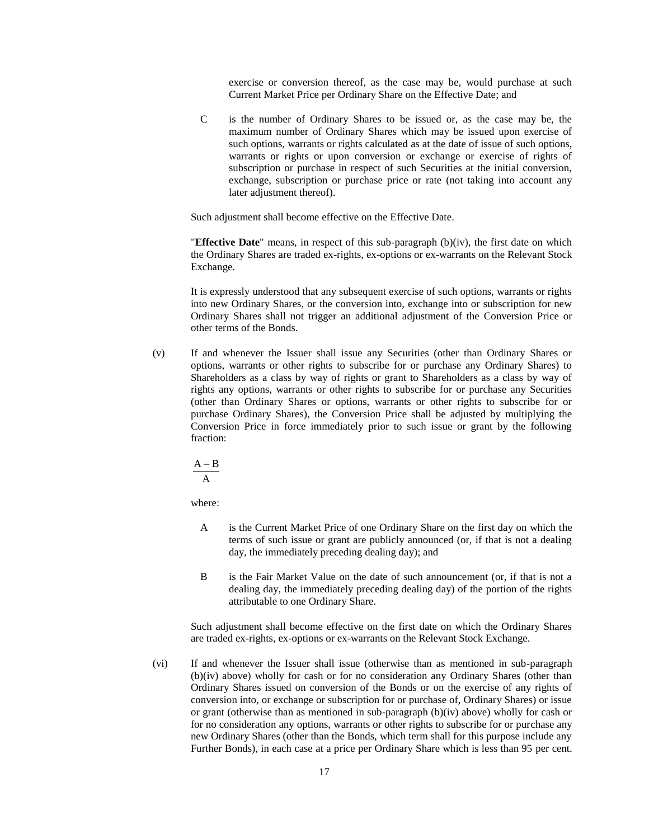exercise or conversion thereof, as the case may be, would purchase at such Current Market Price per Ordinary Share on the Effective Date; and

C is the number of Ordinary Shares to be issued or, as the case may be, the maximum number of Ordinary Shares which may be issued upon exercise of such options, warrants or rights calculated as at the date of issue of such options, warrants or rights or upon conversion or exchange or exercise of rights of subscription or purchase in respect of such Securities at the initial conversion, exchange, subscription or purchase price or rate (not taking into account any later adjustment thereof).

Such adjustment shall become effective on the Effective Date.

"**Effective Date**" means, in respect of this sub-paragraph (b)(iv), the first date on which the Ordinary Shares are traded ex-rights, ex-options or ex-warrants on the Relevant Stock Exchange.

It is expressly understood that any subsequent exercise of such options, warrants or rights into new Ordinary Shares, or the conversion into, exchange into or subscription for new Ordinary Shares shall not trigger an additional adjustment of the Conversion Price or other terms of the Bonds.

(v) If and whenever the Issuer shall issue any Securities (other than Ordinary Shares or options, warrants or other rights to subscribe for or purchase any Ordinary Shares) to Shareholders as a class by way of rights or grant to Shareholders as a class by way of rights any options, warrants or other rights to subscribe for or purchase any Securities (other than Ordinary Shares or options, warrants or other rights to subscribe for or purchase Ordinary Shares), the Conversion Price shall be adjusted by multiplying the Conversion Price in force immediately prior to such issue or grant by the following fraction:

$$
\frac{A-B}{A}
$$

where:

- A is the Current Market Price of one Ordinary Share on the first day on which the terms of such issue or grant are publicly announced (or, if that is not a dealing day, the immediately preceding dealing day); and
- B is the Fair Market Value on the date of such announcement (or, if that is not a dealing day, the immediately preceding dealing day) of the portion of the rights attributable to one Ordinary Share.

Such adjustment shall become effective on the first date on which the Ordinary Shares are traded ex-rights, ex-options or ex-warrants on the Relevant Stock Exchange.

(vi) If and whenever the Issuer shall issue (otherwise than as mentioned in sub-paragraph (b)(iv) above) wholly for cash or for no consideration any Ordinary Shares (other than Ordinary Shares issued on conversion of the Bonds or on the exercise of any rights of conversion into, or exchange or subscription for or purchase of, Ordinary Shares) or issue or grant (otherwise than as mentioned in sub-paragraph (b)(iv) above) wholly for cash or for no consideration any options, warrants or other rights to subscribe for or purchase any new Ordinary Shares (other than the Bonds, which term shall for this purpose include any Further Bonds), in each case at a price per Ordinary Share which is less than 95 per cent.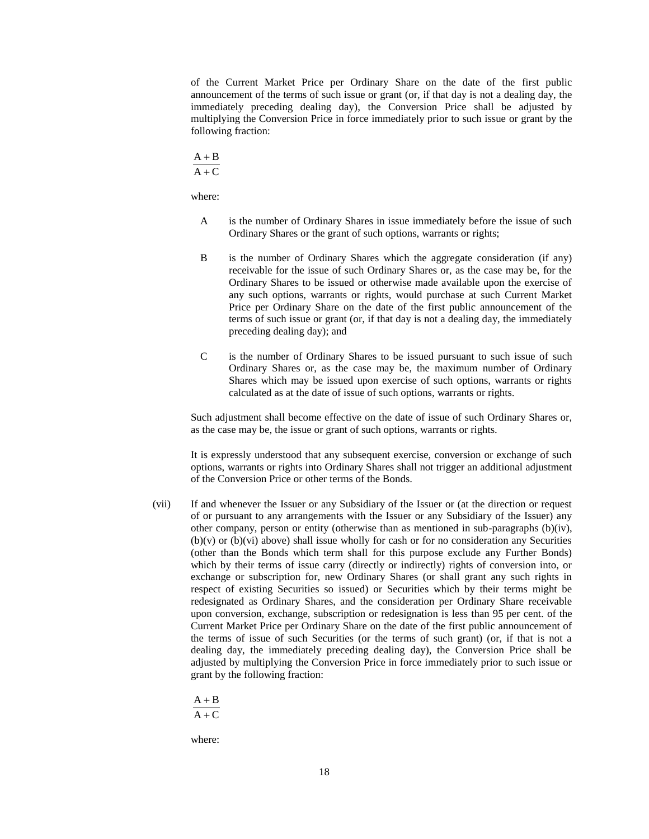of the Current Market Price per Ordinary Share on the date of the first public announcement of the terms of such issue or grant (or, if that day is not a dealing day, the immediately preceding dealing day), the Conversion Price shall be adjusted by multiplying the Conversion Price in force immediately prior to such issue or grant by the following fraction:

$$
\frac{A+B}{A+C}
$$

where:

- A is the number of Ordinary Shares in issue immediately before the issue of such Ordinary Shares or the grant of such options, warrants or rights;
- B is the number of Ordinary Shares which the aggregate consideration (if any) receivable for the issue of such Ordinary Shares or, as the case may be, for the Ordinary Shares to be issued or otherwise made available upon the exercise of any such options, warrants or rights, would purchase at such Current Market Price per Ordinary Share on the date of the first public announcement of the terms of such issue or grant (or, if that day is not a dealing day, the immediately preceding dealing day); and
- C is the number of Ordinary Shares to be issued pursuant to such issue of such Ordinary Shares or, as the case may be, the maximum number of Ordinary Shares which may be issued upon exercise of such options, warrants or rights calculated as at the date of issue of such options, warrants or rights.

Such adjustment shall become effective on the date of issue of such Ordinary Shares or, as the case may be, the issue or grant of such options, warrants or rights.

It is expressly understood that any subsequent exercise, conversion or exchange of such options, warrants or rights into Ordinary Shares shall not trigger an additional adjustment of the Conversion Price or other terms of the Bonds.

(vii) If and whenever the Issuer or any Subsidiary of the Issuer or (at the direction or request of or pursuant to any arrangements with the Issuer or any Subsidiary of the Issuer) any other company, person or entity (otherwise than as mentioned in sub-paragraphs  $(b)(iv)$ ,  $(b)(v)$  or  $(b)(vi)$  above) shall issue wholly for cash or for no consideration any Securities (other than the Bonds which term shall for this purpose exclude any Further Bonds) which by their terms of issue carry (directly or indirectly) rights of conversion into, or exchange or subscription for, new Ordinary Shares (or shall grant any such rights in respect of existing Securities so issued) or Securities which by their terms might be redesignated as Ordinary Shares, and the consideration per Ordinary Share receivable upon conversion, exchange, subscription or redesignation is less than 95 per cent. of the Current Market Price per Ordinary Share on the date of the first public announcement of the terms of issue of such Securities (or the terms of such grant) (or, if that is not a dealing day, the immediately preceding dealing day), the Conversion Price shall be adjusted by multiplying the Conversion Price in force immediately prior to such issue or grant by the following fraction:

$$
\displaystyle\frac{A+B}{A+C}
$$

where: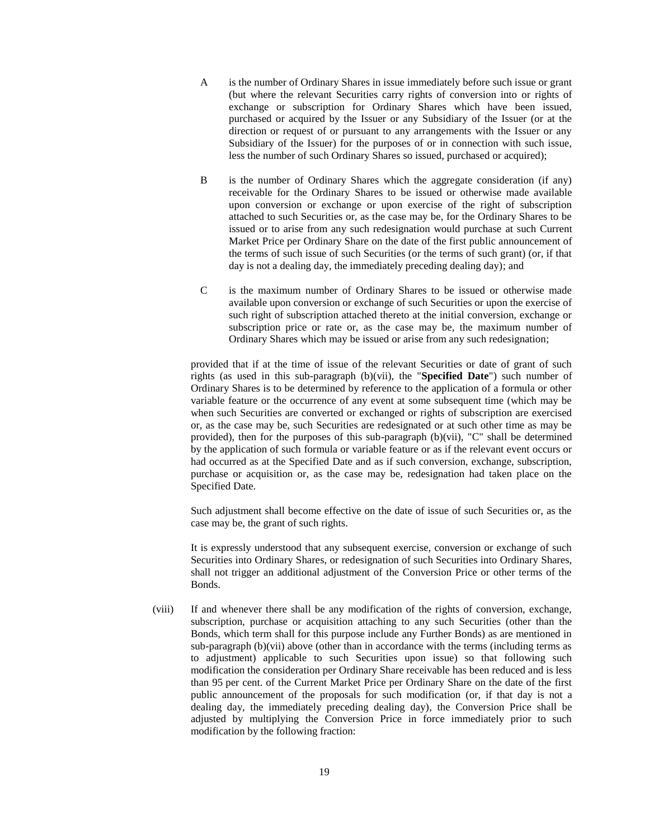- A is the number of Ordinary Shares in issue immediately before such issue or grant (but where the relevant Securities carry rights of conversion into or rights of exchange or subscription for Ordinary Shares which have been issued, purchased or acquired by the Issuer or any Subsidiary of the Issuer (or at the direction or request of or pursuant to any arrangements with the Issuer or any Subsidiary of the Issuer) for the purposes of or in connection with such issue, less the number of such Ordinary Shares so issued, purchased or acquired);
- B is the number of Ordinary Shares which the aggregate consideration (if any) receivable for the Ordinary Shares to be issued or otherwise made available upon conversion or exchange or upon exercise of the right of subscription attached to such Securities or, as the case may be, for the Ordinary Shares to be issued or to arise from any such redesignation would purchase at such Current Market Price per Ordinary Share on the date of the first public announcement of the terms of such issue of such Securities (or the terms of such grant) (or, if that day is not a dealing day, the immediately preceding dealing day); and
- C is the maximum number of Ordinary Shares to be issued or otherwise made available upon conversion or exchange of such Securities or upon the exercise of such right of subscription attached thereto at the initial conversion, exchange or subscription price or rate or, as the case may be, the maximum number of Ordinary Shares which may be issued or arise from any such redesignation;

provided that if at the time of issue of the relevant Securities or date of grant of such rights (as used in this sub-paragraph (b)(vii), the "**Specified Date**") such number of Ordinary Shares is to be determined by reference to the application of a formula or other variable feature or the occurrence of any event at some subsequent time (which may be when such Securities are converted or exchanged or rights of subscription are exercised or, as the case may be, such Securities are redesignated or at such other time as may be provided), then for the purposes of this sub-paragraph (b)(vii), "C" shall be determined by the application of such formula or variable feature or as if the relevant event occurs or had occurred as at the Specified Date and as if such conversion, exchange, subscription, purchase or acquisition or, as the case may be, redesignation had taken place on the Specified Date.

Such adjustment shall become effective on the date of issue of such Securities or, as the case may be, the grant of such rights.

It is expressly understood that any subsequent exercise, conversion or exchange of such Securities into Ordinary Shares, or redesignation of such Securities into Ordinary Shares, shall not trigger an additional adjustment of the Conversion Price or other terms of the Bonds.

(viii) If and whenever there shall be any modification of the rights of conversion, exchange, subscription, purchase or acquisition attaching to any such Securities (other than the Bonds, which term shall for this purpose include any Further Bonds) as are mentioned in sub-paragraph (b)(vii) above (other than in accordance with the terms (including terms as to adjustment) applicable to such Securities upon issue) so that following such modification the consideration per Ordinary Share receivable has been reduced and is less than 95 per cent. of the Current Market Price per Ordinary Share on the date of the first public announcement of the proposals for such modification (or, if that day is not a dealing day, the immediately preceding dealing day), the Conversion Price shall be adjusted by multiplying the Conversion Price in force immediately prior to such modification by the following fraction: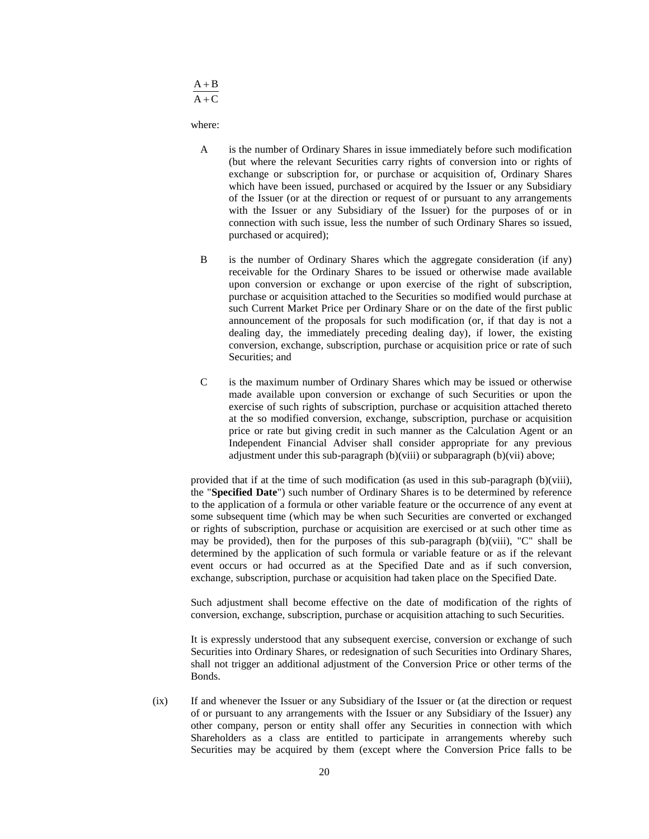$A + C$  $A + B$ 

where:

- A is the number of Ordinary Shares in issue immediately before such modification (but where the relevant Securities carry rights of conversion into or rights of exchange or subscription for, or purchase or acquisition of, Ordinary Shares which have been issued, purchased or acquired by the Issuer or any Subsidiary of the Issuer (or at the direction or request of or pursuant to any arrangements with the Issuer or any Subsidiary of the Issuer) for the purposes of or in connection with such issue, less the number of such Ordinary Shares so issued, purchased or acquired);
- B is the number of Ordinary Shares which the aggregate consideration (if any) receivable for the Ordinary Shares to be issued or otherwise made available upon conversion or exchange or upon exercise of the right of subscription, purchase or acquisition attached to the Securities so modified would purchase at such Current Market Price per Ordinary Share or on the date of the first public announcement of the proposals for such modification (or, if that day is not a dealing day, the immediately preceding dealing day), if lower, the existing conversion, exchange, subscription, purchase or acquisition price or rate of such Securities; and
- C is the maximum number of Ordinary Shares which may be issued or otherwise made available upon conversion or exchange of such Securities or upon the exercise of such rights of subscription, purchase or acquisition attached thereto at the so modified conversion, exchange, subscription, purchase or acquisition price or rate but giving credit in such manner as the Calculation Agent or an Independent Financial Adviser shall consider appropriate for any previous adjustment under this sub-paragraph (b)(viii) or subparagraph (b)(vii) above;

provided that if at the time of such modification (as used in this sub-paragraph (b)(viii), the "**Specified Date**") such number of Ordinary Shares is to be determined by reference to the application of a formula or other variable feature or the occurrence of any event at some subsequent time (which may be when such Securities are converted or exchanged or rights of subscription, purchase or acquisition are exercised or at such other time as may be provided), then for the purposes of this sub-paragraph (b)(viii), "C" shall be determined by the application of such formula or variable feature or as if the relevant event occurs or had occurred as at the Specified Date and as if such conversion, exchange, subscription, purchase or acquisition had taken place on the Specified Date.

Such adjustment shall become effective on the date of modification of the rights of conversion, exchange, subscription, purchase or acquisition attaching to such Securities.

It is expressly understood that any subsequent exercise, conversion or exchange of such Securities into Ordinary Shares, or redesignation of such Securities into Ordinary Shares, shall not trigger an additional adjustment of the Conversion Price or other terms of the Bonds.

(ix) If and whenever the Issuer or any Subsidiary of the Issuer or (at the direction or request of or pursuant to any arrangements with the Issuer or any Subsidiary of the Issuer) any other company, person or entity shall offer any Securities in connection with which Shareholders as a class are entitled to participate in arrangements whereby such Securities may be acquired by them (except where the Conversion Price falls to be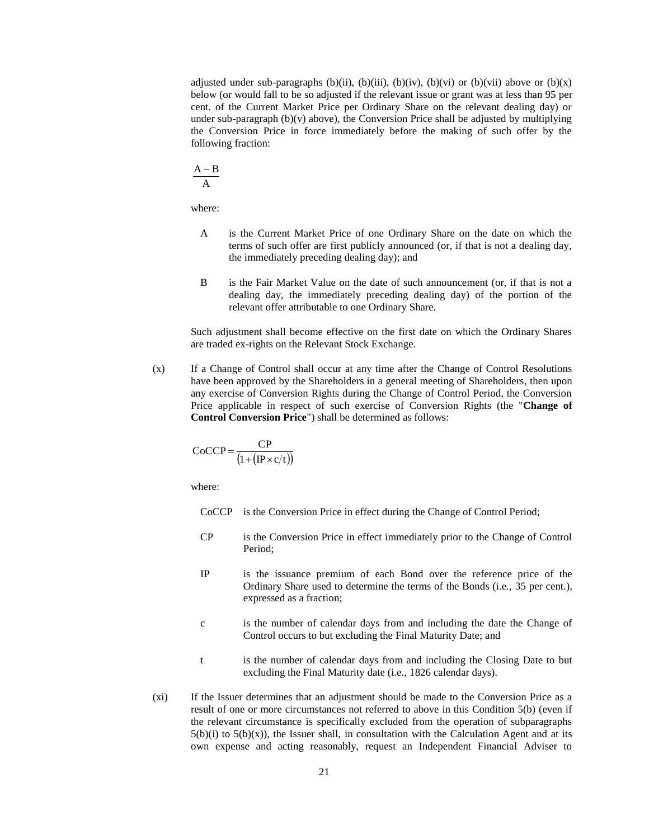adjusted under sub-paragraphs (b)(ii), (b)(iii), (b)(iv), (b)(vi) or (b)(vii) above or (b)(x) below (or would fall to be so adjusted if the relevant issue or grant was at less than 95 per cent. of the Current Market Price per Ordinary Share on the relevant dealing day) or under sub-paragraph  $(b)(v)$  above), the Conversion Price shall be adjusted by multiplying the Conversion Price in force immediately before the making of such offer by the following fraction:

$$
\frac{A-B}{A}
$$

where:

- A is the Current Market Price of one Ordinary Share on the date on which the terms of such offer are first publicly announced (or, if that is not a dealing day, the immediately preceding dealing day); and
- B is the Fair Market Value on the date of such announcement (or, if that is not a dealing day, the immediately preceding dealing day) of the portion of the relevant offer attributable to one Ordinary Share.

Such adjustment shall become effective on the first date on which the Ordinary Shares are traded ex-rights on the Relevant Stock Exchange.

(x) If a Change of Control shall occur at any time after the Change of Control Resolutions have been approved by the Shareholders in a general meeting of Shareholders, then upon any exercise of Conversion Rights during the Change of Control Period, the Conversion Price applicable in respect of such exercise of Conversion Rights (the "**Change of Control Conversion Price**") shall be determined as follows:

$$
CoCCP = \frac{CP}{\left(1 + \left(\text{IP} \times \text{c}/\text{t}\right)\right)}
$$

where:

- CoCCP is the Conversion Price in effect during the Change of Control Period;
- CP is the Conversion Price in effect immediately prior to the Change of Control Period;
- IP is the issuance premium of each Bond over the reference price of the Ordinary Share used to determine the terms of the Bonds (i.e., 35 per cent.), expressed as a fraction;
- c is the number of calendar days from and including the date the Change of Control occurs to but excluding the Final Maturity Date; and
- t is the number of calendar days from and including the Closing Date to but excluding the Final Maturity date (i.e., 1826 calendar days).
- (xi) If the Issuer determines that an adjustment should be made to the Conversion Price as a result of one or more circumstances not referred to above in this Condition 5(b) (even if the relevant circumstance is specifically excluded from the operation of subparagraphs  $5(b)(i)$  to  $5(b)(x)$ , the Issuer shall, in consultation with the Calculation Agent and at its own expense and acting reasonably, request an Independent Financial Adviser to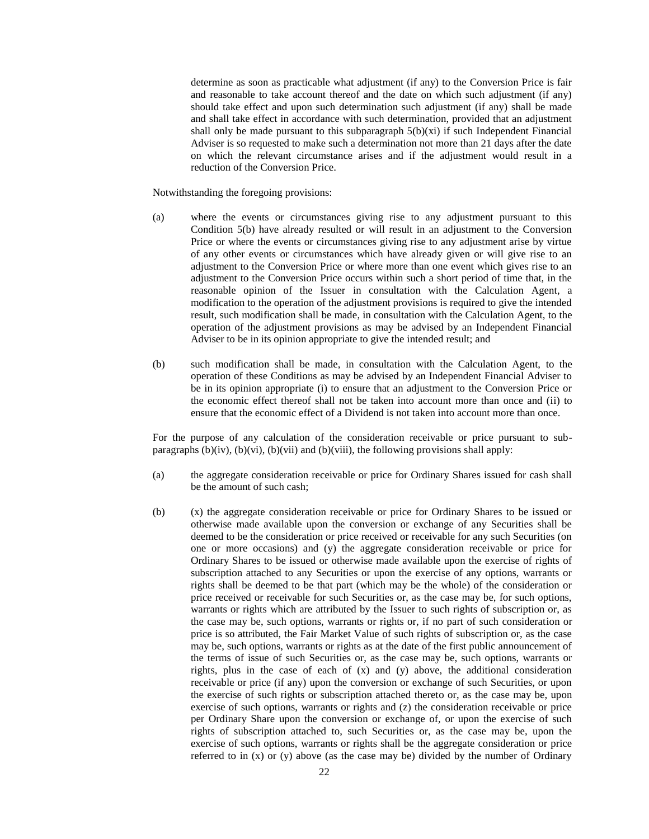determine as soon as practicable what adjustment (if any) to the Conversion Price is fair and reasonable to take account thereof and the date on which such adjustment (if any) should take effect and upon such determination such adjustment (if any) shall be made and shall take effect in accordance with such determination, provided that an adjustment shall only be made pursuant to this subparagraph  $5(b)(xi)$  if such Independent Financial Adviser is so requested to make such a determination not more than 21 days after the date on which the relevant circumstance arises and if the adjustment would result in a reduction of the Conversion Price.

Notwithstanding the foregoing provisions:

- (a) where the events or circumstances giving rise to any adjustment pursuant to this Condition 5(b) have already resulted or will result in an adjustment to the Conversion Price or where the events or circumstances giving rise to any adjustment arise by virtue of any other events or circumstances which have already given or will give rise to an adjustment to the Conversion Price or where more than one event which gives rise to an adjustment to the Conversion Price occurs within such a short period of time that, in the reasonable opinion of the Issuer in consultation with the Calculation Agent, a modification to the operation of the adjustment provisions is required to give the intended result, such modification shall be made, in consultation with the Calculation Agent, to the operation of the adjustment provisions as may be advised by an Independent Financial Adviser to be in its opinion appropriate to give the intended result; and
- (b) such modification shall be made, in consultation with the Calculation Agent, to the operation of these Conditions as may be advised by an Independent Financial Adviser to be in its opinion appropriate (i) to ensure that an adjustment to the Conversion Price or the economic effect thereof shall not be taken into account more than once and (ii) to ensure that the economic effect of a Dividend is not taken into account more than once.

For the purpose of any calculation of the consideration receivable or price pursuant to subparagraphs  $(b)(iv)$ ,  $(b)(vi)$ ,  $(b)(vii)$  and  $(b)(viii)$ , the following provisions shall apply:

- (a) the aggregate consideration receivable or price for Ordinary Shares issued for cash shall be the amount of such cash;
- (b) (x) the aggregate consideration receivable or price for Ordinary Shares to be issued or otherwise made available upon the conversion or exchange of any Securities shall be deemed to be the consideration or price received or receivable for any such Securities (on one or more occasions) and (y) the aggregate consideration receivable or price for Ordinary Shares to be issued or otherwise made available upon the exercise of rights of subscription attached to any Securities or upon the exercise of any options, warrants or rights shall be deemed to be that part (which may be the whole) of the consideration or price received or receivable for such Securities or, as the case may be, for such options, warrants or rights which are attributed by the Issuer to such rights of subscription or, as the case may be, such options, warrants or rights or, if no part of such consideration or price is so attributed, the Fair Market Value of such rights of subscription or, as the case may be, such options, warrants or rights as at the date of the first public announcement of the terms of issue of such Securities or, as the case may be, such options, warrants or rights, plus in the case of each of (x) and (y) above, the additional consideration receivable or price (if any) upon the conversion or exchange of such Securities, or upon the exercise of such rights or subscription attached thereto or, as the case may be, upon exercise of such options, warrants or rights and (z) the consideration receivable or price per Ordinary Share upon the conversion or exchange of, or upon the exercise of such rights of subscription attached to, such Securities or, as the case may be, upon the exercise of such options, warrants or rights shall be the aggregate consideration or price referred to in  $(x)$  or  $(y)$  above (as the case may be) divided by the number of Ordinary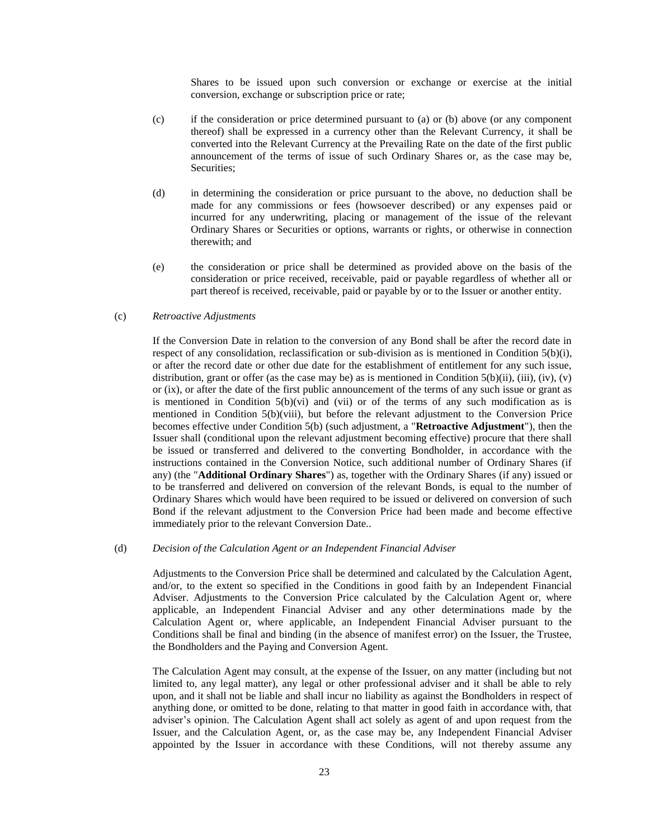Shares to be issued upon such conversion or exchange or exercise at the initial conversion, exchange or subscription price or rate;

- (c) if the consideration or price determined pursuant to (a) or (b) above (or any component thereof) shall be expressed in a currency other than the Relevant Currency, it shall be converted into the Relevant Currency at the Prevailing Rate on the date of the first public announcement of the terms of issue of such Ordinary Shares or, as the case may be, Securities;
- (d) in determining the consideration or price pursuant to the above, no deduction shall be made for any commissions or fees (howsoever described) or any expenses paid or incurred for any underwriting, placing or management of the issue of the relevant Ordinary Shares or Securities or options, warrants or rights, or otherwise in connection therewith; and
- (e) the consideration or price shall be determined as provided above on the basis of the consideration or price received, receivable, paid or payable regardless of whether all or part thereof is received, receivable, paid or payable by or to the Issuer or another entity.

### <span id="page-22-0"></span>(c) *Retroactive Adjustments*

If the Conversion Date in relation to the conversion of any Bond shall be after the record date in respect of any consolidation, reclassification or sub-division as is mentioned in Condition 5(b)(i), or after the record date or other due date for the establishment of entitlement for any such issue, distribution, grant or offer (as the case may be) as is mentioned in Condition  $5(b)(ii)$ , (iii), (iv), (v) or (ix), or after the date of the first public announcement of the terms of any such issue or grant as is mentioned in Condition  $5(b)(vi)$  and (vii) or of the terms of any such modification as is mentioned in Condition 5(b)(viii), but before the relevant adjustment to the Conversion Price becomes effective under Condition 5(b) (such adjustment, a "**Retroactive Adjustment**"), then the Issuer shall (conditional upon the relevant adjustment becoming effective) procure that there shall be issued or transferred and delivered to the converting Bondholder, in accordance with the instructions contained in the Conversion Notice, such additional number of Ordinary Shares (if any) (the "**Additional Ordinary Shares**") as, together with the Ordinary Shares (if any) issued or to be transferred and delivered on conversion of the relevant Bonds, is equal to the number of Ordinary Shares which would have been required to be issued or delivered on conversion of such Bond if the relevant adjustment to the Conversion Price had been made and become effective immediately prior to the relevant Conversion Date..

## (d) *Decision of the Calculation Agent or an Independent Financial Adviser*

Adjustments to the Conversion Price shall be determined and calculated by the Calculation Agent, and/or, to the extent so specified in the Conditions in good faith by an Independent Financial Adviser. Adjustments to the Conversion Price calculated by the Calculation Agent or, where applicable, an Independent Financial Adviser and any other determinations made by the Calculation Agent or, where applicable, an Independent Financial Adviser pursuant to the Conditions shall be final and binding (in the absence of manifest error) on the Issuer, the Trustee, the Bondholders and the Paying and Conversion Agent.

The Calculation Agent may consult, at the expense of the Issuer, on any matter (including but not limited to, any legal matter), any legal or other professional adviser and it shall be able to rely upon, and it shall not be liable and shall incur no liability as against the Bondholders in respect of anything done, or omitted to be done, relating to that matter in good faith in accordance with, that adviser's opinion. The Calculation Agent shall act solely as agent of and upon request from the Issuer, and the Calculation Agent, or, as the case may be, any Independent Financial Adviser appointed by the Issuer in accordance with these Conditions, will not thereby assume any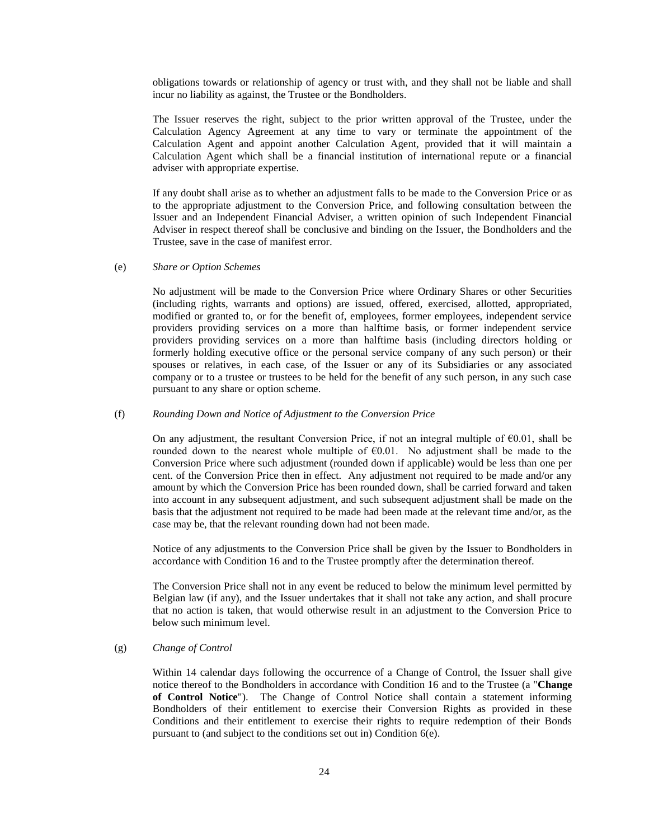obligations towards or relationship of agency or trust with, and they shall not be liable and shall incur no liability as against, the Trustee or the Bondholders.

The Issuer reserves the right, subject to the prior written approval of the Trustee, under the Calculation Agency Agreement at any time to vary or terminate the appointment of the Calculation Agent and appoint another Calculation Agent, provided that it will maintain a Calculation Agent which shall be a financial institution of international repute or a financial adviser with appropriate expertise.

If any doubt shall arise as to whether an adjustment falls to be made to the Conversion Price or as to the appropriate adjustment to the Conversion Price, and following consultation between the Issuer and an Independent Financial Adviser, a written opinion of such Independent Financial Adviser in respect thereof shall be conclusive and binding on the Issuer, the Bondholders and the Trustee, save in the case of manifest error.

### (e) *Share or Option Schemes*

No adjustment will be made to the Conversion Price where Ordinary Shares or other Securities (including rights, warrants and options) are issued, offered, exercised, allotted, appropriated, modified or granted to, or for the benefit of, employees, former employees, independent service providers providing services on a more than halftime basis, or former independent service providers providing services on a more than halftime basis (including directors holding or formerly holding executive office or the personal service company of any such person) or their spouses or relatives, in each case, of the Issuer or any of its Subsidiaries or any associated company or to a trustee or trustees to be held for the benefit of any such person, in any such case pursuant to any share or option scheme.

### (f) *Rounding Down and Notice of Adjustment to the Conversion Price*

On any adjustment, the resultant Conversion Price, if not an integral multiple of  $\epsilon 0.01$ , shall be rounded down to the nearest whole multiple of  $E$ 6.01. No adjustment shall be made to the Conversion Price where such adjustment (rounded down if applicable) would be less than one per cent. of the Conversion Price then in effect. Any adjustment not required to be made and/or any amount by which the Conversion Price has been rounded down, shall be carried forward and taken into account in any subsequent adjustment, and such subsequent adjustment shall be made on the basis that the adjustment not required to be made had been made at the relevant time and/or, as the case may be, that the relevant rounding down had not been made.

Notice of any adjustments to the Conversion Price shall be given by the Issuer to Bondholders in accordance with Condition 16 and to the Trustee promptly after the determination thereof.

The Conversion Price shall not in any event be reduced to below the minimum level permitted by Belgian law (if any), and the Issuer undertakes that it shall not take any action, and shall procure that no action is taken, that would otherwise result in an adjustment to the Conversion Price to below such minimum level.

# <span id="page-23-0"></span>(g) *Change of Control*

Within 14 calendar days following the occurrence of a Change of Control, the Issuer shall give notice thereof to the Bondholders in accordance with Condition 16 and to the Trustee (a "**Change of Control Notice**"). The Change of Control Notice shall contain a statement informing Bondholders of their entitlement to exercise their Conversion Rights as provided in these Conditions and their entitlement to exercise their rights to require redemption of their Bonds pursuant to (and subject to the conditions set out in) Condition 6(e).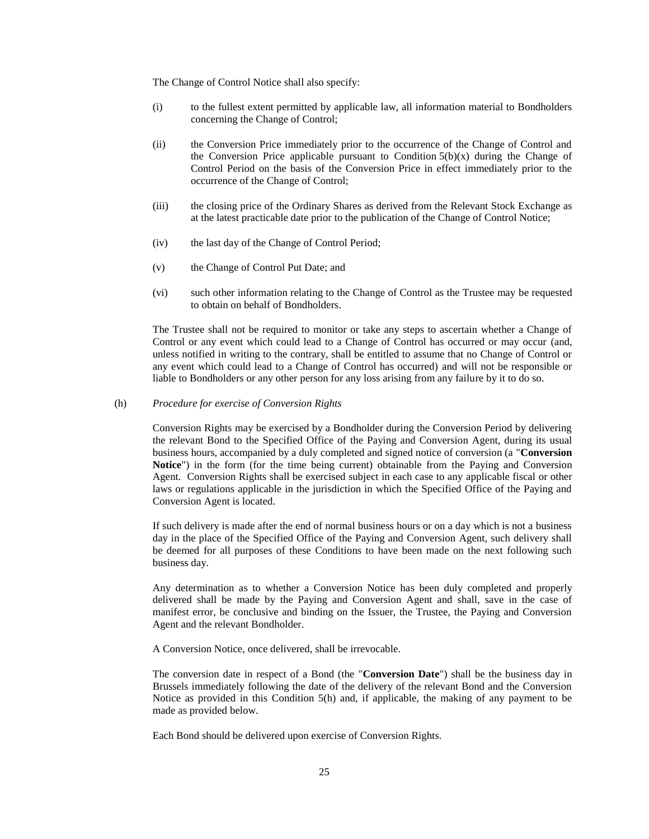The Change of Control Notice shall also specify:

- (i) to the fullest extent permitted by applicable law, all information material to Bondholders concerning the Change of Control;
- (ii) the Conversion Price immediately prior to the occurrence of the Change of Control and the Conversion Price applicable pursuant to Condition  $5(b)(x)$  during the Change of Control Period on the basis of the Conversion Price in effect immediately prior to the occurrence of the Change of Control;
- (iii) the closing price of the Ordinary Shares as derived from the Relevant Stock Exchange as at the latest practicable date prior to the publication of the Change of Control Notice;
- (iv) the last day of the Change of Control Period;
- (v) the Change of Control Put Date; and
- (vi) such other information relating to the Change of Control as the Trustee may be requested to obtain on behalf of Bondholders.

The Trustee shall not be required to monitor or take any steps to ascertain whether a Change of Control or any event which could lead to a Change of Control has occurred or may occur (and, unless notified in writing to the contrary, shall be entitled to assume that no Change of Control or any event which could lead to a Change of Control has occurred) and will not be responsible or liable to Bondholders or any other person for any loss arising from any failure by it to do so.

### <span id="page-24-0"></span>(h) *Procedure for exercise of Conversion Rights*

Conversion Rights may be exercised by a Bondholder during the Conversion Period by delivering the relevant Bond to the Specified Office of the Paying and Conversion Agent, during its usual business hours, accompanied by a duly completed and signed notice of conversion (a "**Conversion Notice**") in the form (for the time being current) obtainable from the Paying and Conversion Agent. Conversion Rights shall be exercised subject in each case to any applicable fiscal or other laws or regulations applicable in the jurisdiction in which the Specified Office of the Paying and Conversion Agent is located.

If such delivery is made after the end of normal business hours or on a day which is not a business day in the place of the Specified Office of the Paying and Conversion Agent, such delivery shall be deemed for all purposes of these Conditions to have been made on the next following such business day.

Any determination as to whether a Conversion Notice has been duly completed and properly delivered shall be made by the Paying and Conversion Agent and shall, save in the case of manifest error, be conclusive and binding on the Issuer, the Trustee, the Paying and Conversion Agent and the relevant Bondholder.

A Conversion Notice, once delivered, shall be irrevocable.

The conversion date in respect of a Bond (the "**Conversion Date**") shall be the business day in Brussels immediately following the date of the delivery of the relevant Bond and the Conversion Notice as provided in this Condition 5(h) and, if applicable, the making of any payment to be made as provided below.

Each Bond should be delivered upon exercise of Conversion Rights.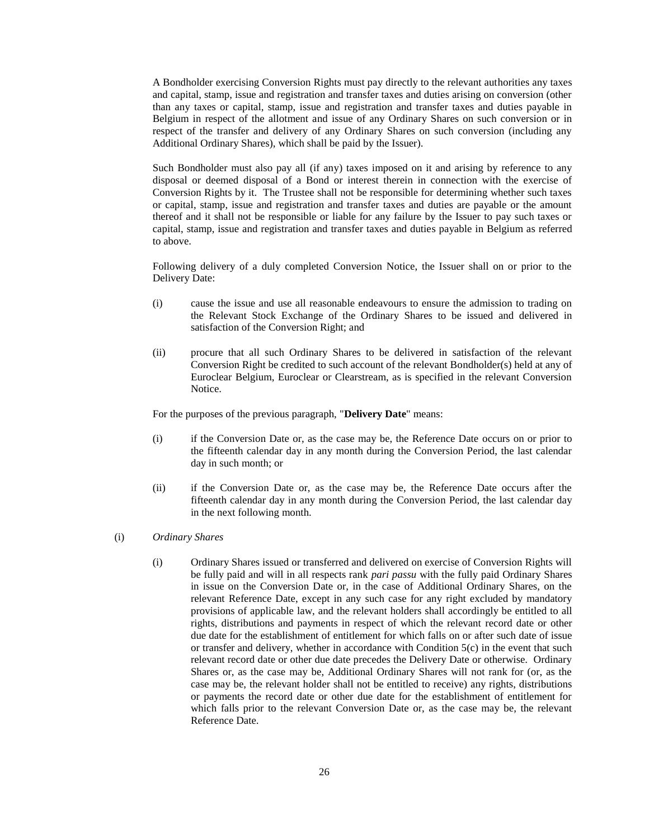A Bondholder exercising Conversion Rights must pay directly to the relevant authorities any taxes and capital, stamp, issue and registration and transfer taxes and duties arising on conversion (other than any taxes or capital, stamp, issue and registration and transfer taxes and duties payable in Belgium in respect of the allotment and issue of any Ordinary Shares on such conversion or in respect of the transfer and delivery of any Ordinary Shares on such conversion (including any Additional Ordinary Shares), which shall be paid by the Issuer).

Such Bondholder must also pay all (if any) taxes imposed on it and arising by reference to any disposal or deemed disposal of a Bond or interest therein in connection with the exercise of Conversion Rights by it. The Trustee shall not be responsible for determining whether such taxes or capital, stamp, issue and registration and transfer taxes and duties are payable or the amount thereof and it shall not be responsible or liable for any failure by the Issuer to pay such taxes or capital, stamp, issue and registration and transfer taxes and duties payable in Belgium as referred to above.

Following delivery of a duly completed Conversion Notice, the Issuer shall on or prior to the Delivery Date:

- (i) cause the issue and use all reasonable endeavours to ensure the admission to trading on the Relevant Stock Exchange of the Ordinary Shares to be issued and delivered in satisfaction of the Conversion Right; and
- (ii) procure that all such Ordinary Shares to be delivered in satisfaction of the relevant Conversion Right be credited to such account of the relevant Bondholder(s) held at any of Euroclear Belgium, Euroclear or Clearstream, as is specified in the relevant Conversion Notice.

For the purposes of the previous paragraph, "**Delivery Date**" means:

- (i) if the Conversion Date or, as the case may be, the Reference Date occurs on or prior to the fifteenth calendar day in any month during the Conversion Period, the last calendar day in such month; or
- (ii) if the Conversion Date or, as the case may be, the Reference Date occurs after the fifteenth calendar day in any month during the Conversion Period, the last calendar day in the next following month.
- <span id="page-25-0"></span>(i) *Ordinary Shares*
	- (i) Ordinary Shares issued or transferred and delivered on exercise of Conversion Rights will be fully paid and will in all respects rank *pari passu* with the fully paid Ordinary Shares in issue on the Conversion Date or, in the case of Additional Ordinary Shares, on the relevant Reference Date, except in any such case for any right excluded by mandatory provisions of applicable law, and the relevant holders shall accordingly be entitled to all rights, distributions and payments in respect of which the relevant record date or other due date for the establishment of entitlement for which falls on or after such date of issue or transfer and delivery, whether in accordance with Condition 5(c) in the event that such relevant record date or other due date precedes the Delivery Date or otherwise. Ordinary Shares or, as the case may be, Additional Ordinary Shares will not rank for (or, as the case may be, the relevant holder shall not be entitled to receive) any rights, distributions or payments the record date or other due date for the establishment of entitlement for which falls prior to the relevant Conversion Date or, as the case may be, the relevant Reference Date.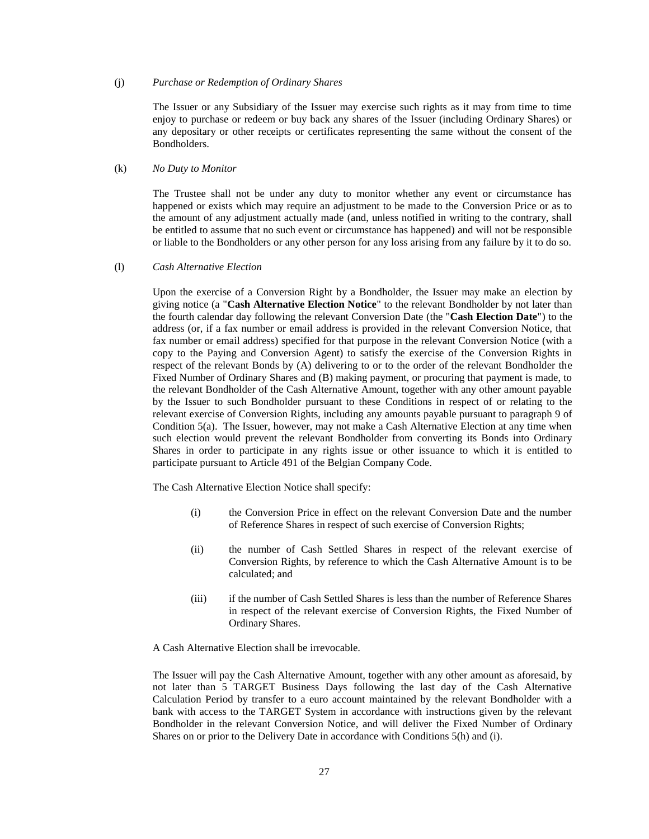### (j) *Purchase or Redemption of Ordinary Shares*

The Issuer or any Subsidiary of the Issuer may exercise such rights as it may from time to time enjoy to purchase or redeem or buy back any shares of the Issuer (including Ordinary Shares) or any depositary or other receipts or certificates representing the same without the consent of the Bondholders.

### (k) *No Duty to Monitor*

The Trustee shall not be under any duty to monitor whether any event or circumstance has happened or exists which may require an adjustment to be made to the Conversion Price or as to the amount of any adjustment actually made (and, unless notified in writing to the contrary, shall be entitled to assume that no such event or circumstance has happened) and will not be responsible or liable to the Bondholders or any other person for any loss arising from any failure by it to do so.

# <span id="page-26-0"></span>(l) *Cash Alternative Election*

Upon the exercise of a Conversion Right by a Bondholder, the Issuer may make an election by giving notice (a "**Cash Alternative Election Notice**" to the relevant Bondholder by not later than the fourth calendar day following the relevant Conversion Date (the "**Cash Election Date**") to the address (or, if a fax number or email address is provided in the relevant Conversion Notice, that fax number or email address) specified for that purpose in the relevant Conversion Notice (with a copy to the Paying and Conversion Agent) to satisfy the exercise of the Conversion Rights in respect of the relevant Bonds by (A) delivering to or to the order of the relevant Bondholder the Fixed Number of Ordinary Shares and (B) making payment, or procuring that payment is made, to the relevant Bondholder of the Cash Alternative Amount, together with any other amount payable by the Issuer to such Bondholder pursuant to these Conditions in respect of or relating to the relevant exercise of Conversion Rights, including any amounts payable pursuant to paragraph 9 of Condition 5(a). The Issuer, however, may not make a Cash Alternative Election at any time when such election would prevent the relevant Bondholder from converting its Bonds into Ordinary Shares in order to participate in any rights issue or other issuance to which it is entitled to participate pursuant to Article 491 of the Belgian Company Code.

The Cash Alternative Election Notice shall specify:

- (i) the Conversion Price in effect on the relevant Conversion Date and the number of Reference Shares in respect of such exercise of Conversion Rights;
- (ii) the number of Cash Settled Shares in respect of the relevant exercise of Conversion Rights, by reference to which the Cash Alternative Amount is to be calculated; and
- (iii) if the number of Cash Settled Shares is less than the number of Reference Shares in respect of the relevant exercise of Conversion Rights, the Fixed Number of Ordinary Shares.

A Cash Alternative Election shall be irrevocable.

The Issuer will pay the Cash Alternative Amount, together with any other amount as aforesaid, by not later than 5 TARGET Business Days following the last day of the Cash Alternative Calculation Period by transfer to a euro account maintained by the relevant Bondholder with a bank with access to the TARGET System in accordance with instructions given by the relevant Bondholder in the relevant Conversion Notice, and will deliver the Fixed Number of Ordinary Shares on or prior to the Delivery Date in accordance with Conditions 5(h) and (i).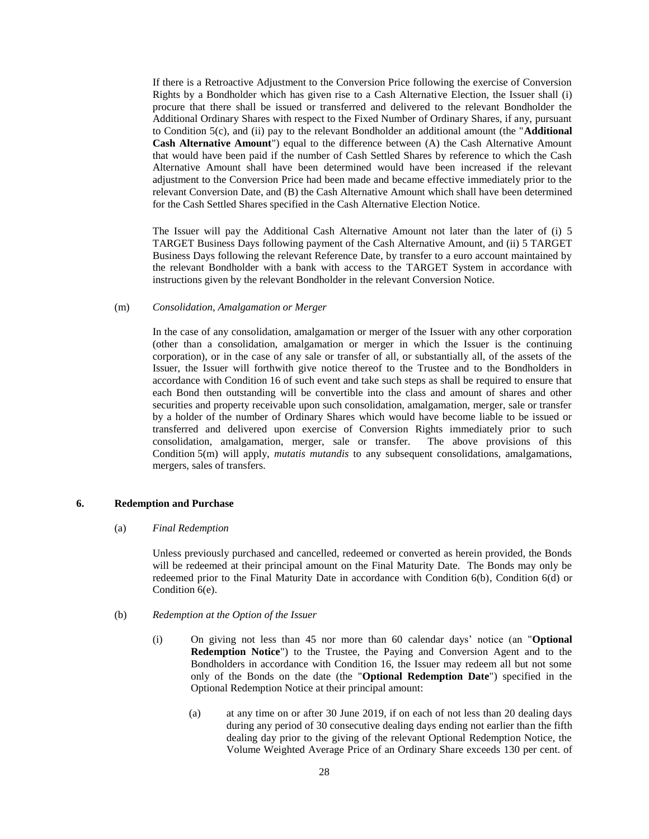If there is a Retroactive Adjustment to the Conversion Price following the exercise of Conversion Rights by a Bondholder which has given rise to a Cash Alternative Election, the Issuer shall (i) procure that there shall be issued or transferred and delivered to the relevant Bondholder the Additional Ordinary Shares with respect to the Fixed Number of Ordinary Shares, if any, pursuant to Condition 5(c), and (ii) pay to the relevant Bondholder an additional amount (the "**Additional Cash Alternative Amount**") equal to the difference between (A) the Cash Alternative Amount that would have been paid if the number of Cash Settled Shares by reference to which the Cash Alternative Amount shall have been determined would have been increased if the relevant adjustment to the Conversion Price had been made and became effective immediately prior to the relevant Conversion Date, and (B) the Cash Alternative Amount which shall have been determined for the Cash Settled Shares specified in the Cash Alternative Election Notice.

The Issuer will pay the Additional Cash Alternative Amount not later than the later of (i) 5 TARGET Business Days following payment of the Cash Alternative Amount, and (ii) 5 TARGET Business Days following the relevant Reference Date, by transfer to a euro account maintained by the relevant Bondholder with a bank with access to the TARGET System in accordance with instructions given by the relevant Bondholder in the relevant Conversion Notice.

### (m) *Consolidation, Amalgamation or Merger*

In the case of any consolidation, amalgamation or merger of the Issuer with any other corporation (other than a consolidation, amalgamation or merger in which the Issuer is the continuing corporation), or in the case of any sale or transfer of all, or substantially all, of the assets of the Issuer, the Issuer will forthwith give notice thereof to the Trustee and to the Bondholders in accordance with Condition 16 of such event and take such steps as shall be required to ensure that each Bond then outstanding will be convertible into the class and amount of shares and other securities and property receivable upon such consolidation, amalgamation, merger, sale or transfer by a holder of the number of Ordinary Shares which would have become liable to be issued or transferred and delivered upon exercise of Conversion Rights immediately prior to such consolidation, amalgamation, merger, sale or transfer. The above provisions of this Condition 5(m) will apply, *mutatis mutandis* to any subsequent consolidations, amalgamations, mergers, sales of transfers.

### **6. Redemption and Purchase**

#### (a) *Final Redemption*

Unless previously purchased and cancelled, redeemed or converted as herein provided, the Bonds will be redeemed at their principal amount on the Final Maturity Date. The Bonds may only be redeemed prior to the Final Maturity Date in accordance with Condition 6(b), Condition 6(d) or Condition 6(e).

- <span id="page-27-0"></span>(b) *Redemption at the Option of the Issuer*
	- (i) On giving not less than 45 nor more than 60 calendar days' notice (an "**Optional Redemption Notice**") to the Trustee, the Paying and Conversion Agent and to the Bondholders in accordance with Condition 16, the Issuer may redeem all but not some only of the Bonds on the date (the "**Optional Redemption Date**") specified in the Optional Redemption Notice at their principal amount:
		- (a) at any time on or after 30 June 2019, if on each of not less than 20 dealing days during any period of 30 consecutive dealing days ending not earlier than the fifth dealing day prior to the giving of the relevant Optional Redemption Notice, the Volume Weighted Average Price of an Ordinary Share exceeds 130 per cent. of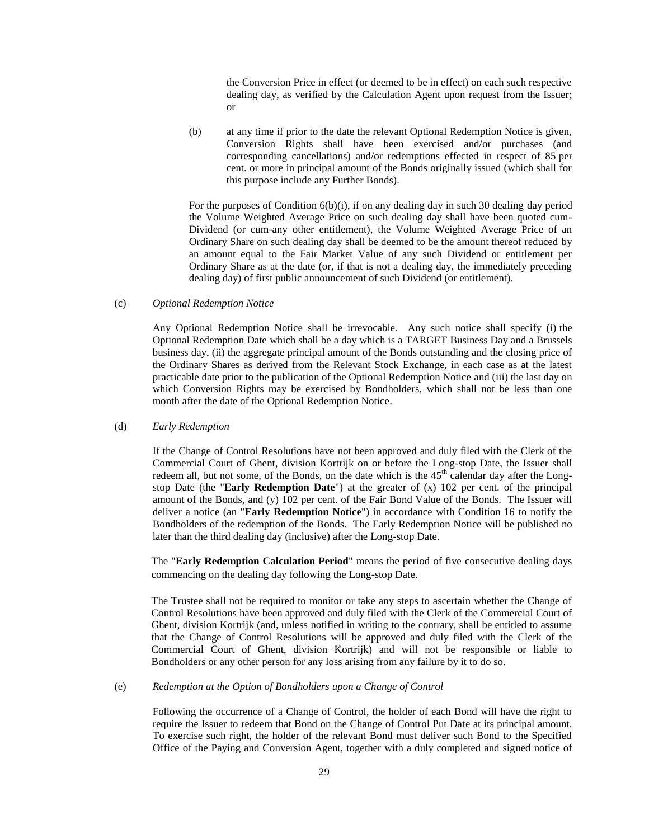the Conversion Price in effect (or deemed to be in effect) on each such respective dealing day, as verified by the Calculation Agent upon request from the Issuer; or

(b) at any time if prior to the date the relevant Optional Redemption Notice is given, Conversion Rights shall have been exercised and/or purchases (and corresponding cancellations) and/or redemptions effected in respect of 85 per cent. or more in principal amount of the Bonds originally issued (which shall for this purpose include any Further Bonds).

For the purposes of Condition 6(b)(i), if on any dealing day in such 30 dealing day period the Volume Weighted Average Price on such dealing day shall have been quoted cum-Dividend (or cum-any other entitlement), the Volume Weighted Average Price of an Ordinary Share on such dealing day shall be deemed to be the amount thereof reduced by an amount equal to the Fair Market Value of any such Dividend or entitlement per Ordinary Share as at the date (or, if that is not a dealing day, the immediately preceding dealing day) of first public announcement of such Dividend (or entitlement).

### (c) *Optional Redemption Notice*

Any Optional Redemption Notice shall be irrevocable. Any such notice shall specify (i) the Optional Redemption Date which shall be a day which is a TARGET Business Day and a Brussels business day, (ii) the aggregate principal amount of the Bonds outstanding and the closing price of the Ordinary Shares as derived from the Relevant Stock Exchange, in each case as at the latest practicable date prior to the publication of the Optional Redemption Notice and (iii) the last day on which Conversion Rights may be exercised by Bondholders, which shall not be less than one month after the date of the Optional Redemption Notice.

#### (d) *Early Redemption*

If the Change of Control Resolutions have not been approved and duly filed with the Clerk of the Commercial Court of Ghent, division Kortrijk on or before the Long-stop Date, the Issuer shall redeem all, but not some, of the Bonds, on the date which is the 45<sup>th</sup> calendar day after the Longstop Date (the "**Early Redemption Date**") at the greater of (x) 102 per cent. of the principal amount of the Bonds, and (y) 102 per cent. of the Fair Bond Value of the Bonds. The Issuer will deliver a notice (an "**Early Redemption Notice**") in accordance with Condition 16 to notify the Bondholders of the redemption of the Bonds. The Early Redemption Notice will be published no later than the third dealing day (inclusive) after the Long-stop Date.

The "**Early Redemption Calculation Period**" means the period of five consecutive dealing days commencing on the dealing day following the Long-stop Date.

The Trustee shall not be required to monitor or take any steps to ascertain whether the Change of Control Resolutions have been approved and duly filed with the Clerk of the Commercial Court of Ghent, division Kortrijk (and, unless notified in writing to the contrary, shall be entitled to assume that the Change of Control Resolutions will be approved and duly filed with the Clerk of the Commercial Court of Ghent, division Kortrijk) and will not be responsible or liable to Bondholders or any other person for any loss arising from any failure by it to do so.

### <span id="page-28-0"></span>(e) *Redemption at the Option of Bondholders upon a Change of Control*

Following the occurrence of a Change of Control, the holder of each Bond will have the right to require the Issuer to redeem that Bond on the Change of Control Put Date at its principal amount. To exercise such right, the holder of the relevant Bond must deliver such Bond to the Specified Office of the Paying and Conversion Agent, together with a duly completed and signed notice of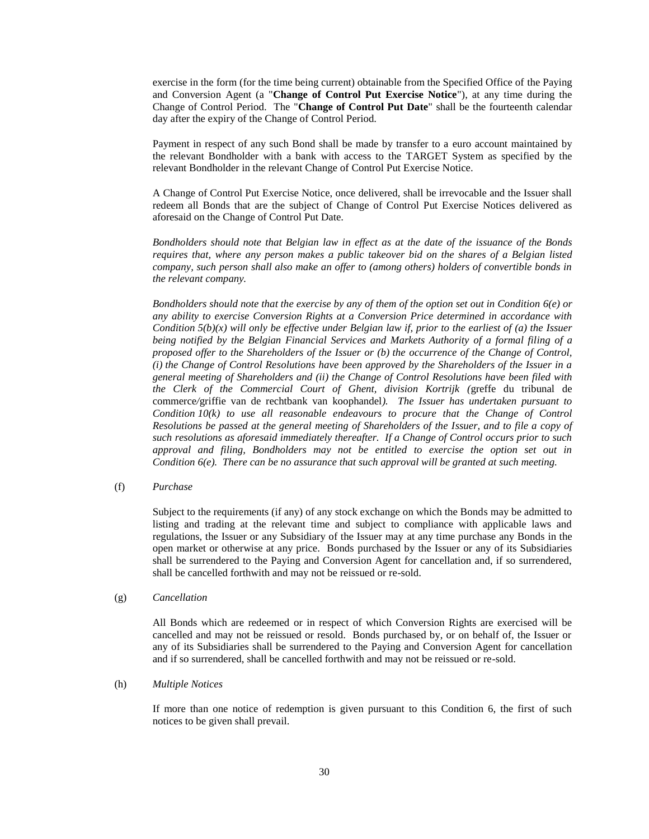exercise in the form (for the time being current) obtainable from the Specified Office of the Paying and Conversion Agent (a "**Change of Control Put Exercise Notice**"), at any time during the Change of Control Period. The "**Change of Control Put Date**" shall be the fourteenth calendar day after the expiry of the Change of Control Period.

Payment in respect of any such Bond shall be made by transfer to a euro account maintained by the relevant Bondholder with a bank with access to the TARGET System as specified by the relevant Bondholder in the relevant Change of Control Put Exercise Notice.

A Change of Control Put Exercise Notice, once delivered, shall be irrevocable and the Issuer shall redeem all Bonds that are the subject of Change of Control Put Exercise Notices delivered as aforesaid on the Change of Control Put Date.

*Bondholders should note that Belgian law in effect as at the date of the issuance of the Bonds requires that, where any person makes a public takeover bid on the shares of a Belgian listed company, such person shall also make an offer to (among others) holders of convertible bonds in the relevant company.*

*Bondholders should note that the exercise by any of them of the option set out in Condition 6(e) or any ability to exercise Conversion Rights at a Conversion Price determined in accordance with Condition 5(b)(x) will only be effective under Belgian law if, prior to the earliest of (a) the Issuer being notified by the Belgian Financial Services and Markets Authority of a formal filing of a proposed offer to the Shareholders of the Issuer or (b) the occurrence of the Change of Control, (i) the Change of Control Resolutions have been approved by the Shareholders of the Issuer in a general meeting of Shareholders and (ii) the Change of Control Resolutions have been filed with the Clerk of the Commercial Court of Ghent, division Kortrijk (*greffe du tribunal de commerce*/*griffie van de rechtbank van koophandel*). The Issuer has undertaken pursuant to Condition 10(k) to use all reasonable endeavours to procure that the Change of Control Resolutions be passed at the general meeting of Shareholders of the Issuer, and to file a copy of such resolutions as aforesaid immediately thereafter. If a Change of Control occurs prior to such approval and filing, Bondholders may not be entitled to exercise the option set out in Condition 6(e). There can be no assurance that such approval will be granted at such meeting.*

## (f) *Purchase*

Subject to the requirements (if any) of any stock exchange on which the Bonds may be admitted to listing and trading at the relevant time and subject to compliance with applicable laws and regulations, the Issuer or any Subsidiary of the Issuer may at any time purchase any Bonds in the open market or otherwise at any price. Bonds purchased by the Issuer or any of its Subsidiaries shall be surrendered to the Paying and Conversion Agent for cancellation and, if so surrendered, shall be cancelled forthwith and may not be reissued or re-sold.

### (g) *Cancellation*

All Bonds which are redeemed or in respect of which Conversion Rights are exercised will be cancelled and may not be reissued or resold. Bonds purchased by, or on behalf of, the Issuer or any of its Subsidiaries shall be surrendered to the Paying and Conversion Agent for cancellation and if so surrendered, shall be cancelled forthwith and may not be reissued or re-sold.

### (h) *Multiple Notices*

If more than one notice of redemption is given pursuant to this Condition 6, the first of such notices to be given shall prevail.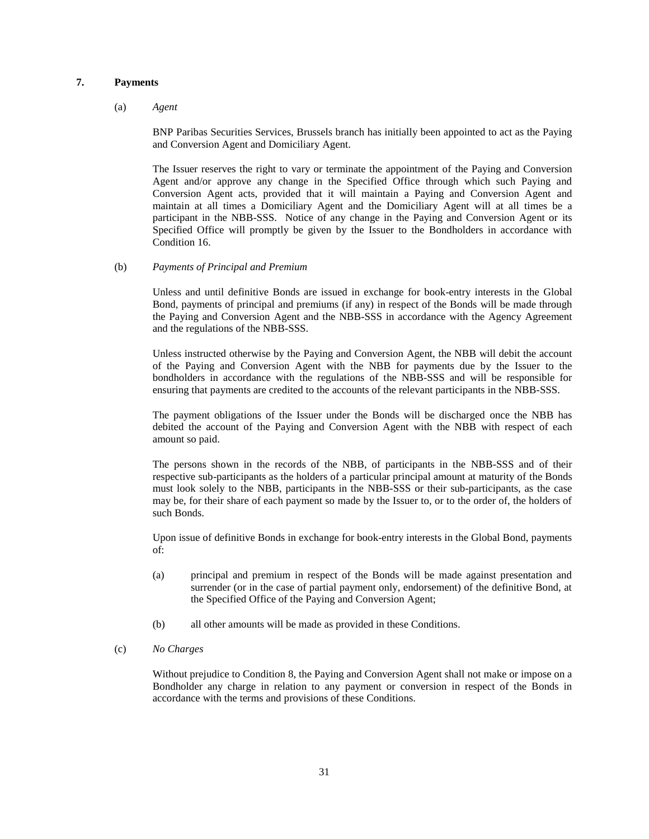# **7. Payments**

### (a) *Agent*

BNP Paribas Securities Services, Brussels branch has initially been appointed to act as the Paying and Conversion Agent and Domiciliary Agent.

The Issuer reserves the right to vary or terminate the appointment of the Paying and Conversion Agent and/or approve any change in the Specified Office through which such Paying and Conversion Agent acts, provided that it will maintain a Paying and Conversion Agent and maintain at all times a Domiciliary Agent and the Domiciliary Agent will at all times be a participant in the NBB-SSS. Notice of any change in the Paying and Conversion Agent or its Specified Office will promptly be given by the Issuer to the Bondholders in accordance with Condition 16.

(b) *Payments of Principal and Premium*

Unless and until definitive Bonds are issued in exchange for book-entry interests in the Global Bond, payments of principal and premiums (if any) in respect of the Bonds will be made through the Paying and Conversion Agent and the NBB-SSS in accordance with the Agency Agreement and the regulations of the NBB-SSS.

Unless instructed otherwise by the Paying and Conversion Agent, the NBB will debit the account of the Paying and Conversion Agent with the NBB for payments due by the Issuer to the bondholders in accordance with the regulations of the NBB-SSS and will be responsible for ensuring that payments are credited to the accounts of the relevant participants in the NBB-SSS.

The payment obligations of the Issuer under the Bonds will be discharged once the NBB has debited the account of the Paying and Conversion Agent with the NBB with respect of each amount so paid.

The persons shown in the records of the NBB, of participants in the NBB-SSS and of their respective sub-participants as the holders of a particular principal amount at maturity of the Bonds must look solely to the NBB, participants in the NBB-SSS or their sub-participants, as the case may be, for their share of each payment so made by the Issuer to, or to the order of, the holders of such Bonds.

Upon issue of definitive Bonds in exchange for book-entry interests in the Global Bond, payments of:

- (a) principal and premium in respect of the Bonds will be made against presentation and surrender (or in the case of partial payment only, endorsement) of the definitive Bond, at the Specified Office of the Paying and Conversion Agent;
- (b) all other amounts will be made as provided in these Conditions.
- (c) *No Charges*

Without prejudice to Condition 8, the Paying and Conversion Agent shall not make or impose on a Bondholder any charge in relation to any payment or conversion in respect of the Bonds in accordance with the terms and provisions of these Conditions.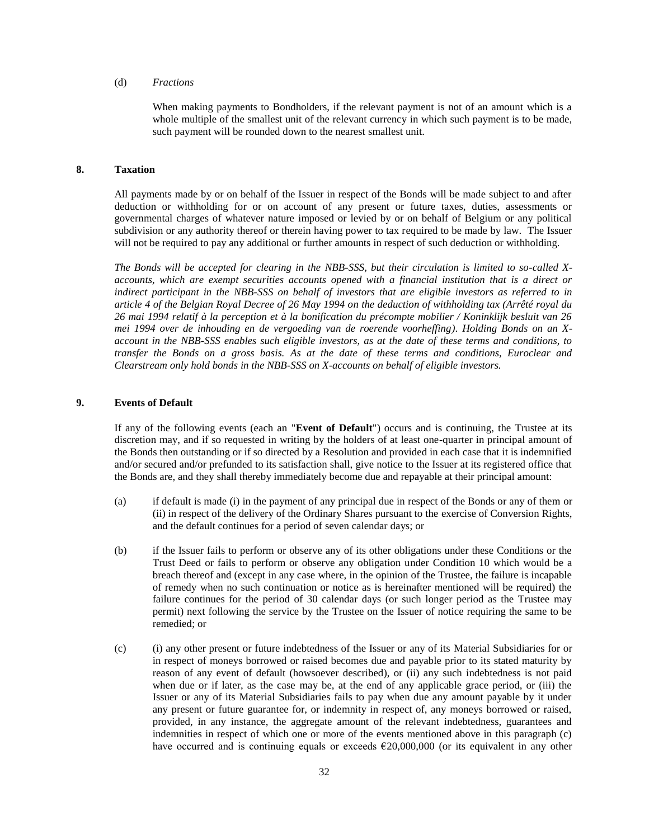# (d) *Fractions*

When making payments to Bondholders, if the relevant payment is not of an amount which is a whole multiple of the smallest unit of the relevant currency in which such payment is to be made, such payment will be rounded down to the nearest smallest unit.

## **8. Taxation**

All payments made by or on behalf of the Issuer in respect of the Bonds will be made subject to and after deduction or withholding for or on account of any present or future taxes, duties, assessments or governmental charges of whatever nature imposed or levied by or on behalf of Belgium or any political subdivision or any authority thereof or therein having power to tax required to be made by law. The Issuer will not be required to pay any additional or further amounts in respect of such deduction or withholding.

*The Bonds will be accepted for clearing in the NBB-SSS, but their circulation is limited to so-called Xaccounts, which are exempt securities accounts opened with a financial institution that is a direct or indirect participant in the NBB-SSS on behalf of investors that are eligible investors as referred to in article 4 of the Belgian Royal Decree of 26 May 1994 on the deduction of withholding tax (Arrêté royal du 26 mai 1994 relatif à la perception et à la bonification du précompte mobilier / Koninklijk besluit van 26 mei 1994 over de inhouding en de vergoeding van de roerende voorheffing)*. *Holding Bonds on an Xaccount in the NBB-SSS enables such eligible investors, as at the date of these terms and conditions, to transfer the Bonds on a gross basis. As at the date of these terms and conditions, Euroclear and Clearstream only hold bonds in the NBB-SSS on X-accounts on behalf of eligible investors.* 

## <span id="page-31-0"></span>**9. Events of Default**

If any of the following events (each an "**Event of Default**") occurs and is continuing, the Trustee at its discretion may, and if so requested in writing by the holders of at least one-quarter in principal amount of the Bonds then outstanding or if so directed by a Resolution and provided in each case that it is indemnified and/or secured and/or prefunded to its satisfaction shall, give notice to the Issuer at its registered office that the Bonds are, and they shall thereby immediately become due and repayable at their principal amount:

- (a) if default is made (i) in the payment of any principal due in respect of the Bonds or any of them or (ii) in respect of the delivery of the Ordinary Shares pursuant to the exercise of Conversion Rights, and the default continues for a period of seven calendar days; or
- (b) if the Issuer fails to perform or observe any of its other obligations under these Conditions or the Trust Deed or fails to perform or observe any obligation under Condition 10 which would be a breach thereof and (except in any case where, in the opinion of the Trustee, the failure is incapable of remedy when no such continuation or notice as is hereinafter mentioned will be required) the failure continues for the period of 30 calendar days (or such longer period as the Trustee may permit) next following the service by the Trustee on the Issuer of notice requiring the same to be remedied; or
- (c) (i) any other present or future indebtedness of the Issuer or any of its Material Subsidiaries for or in respect of moneys borrowed or raised becomes due and payable prior to its stated maturity by reason of any event of default (howsoever described), or (ii) any such indebtedness is not paid when due or if later, as the case may be, at the end of any applicable grace period, or (iii) the Issuer or any of its Material Subsidiaries fails to pay when due any amount payable by it under any present or future guarantee for, or indemnity in respect of, any moneys borrowed or raised, provided, in any instance, the aggregate amount of the relevant indebtedness, guarantees and indemnities in respect of which one or more of the events mentioned above in this paragraph (c) have occurred and is continuing equals or exceeds  $€20,000,000$  (or its equivalent in any other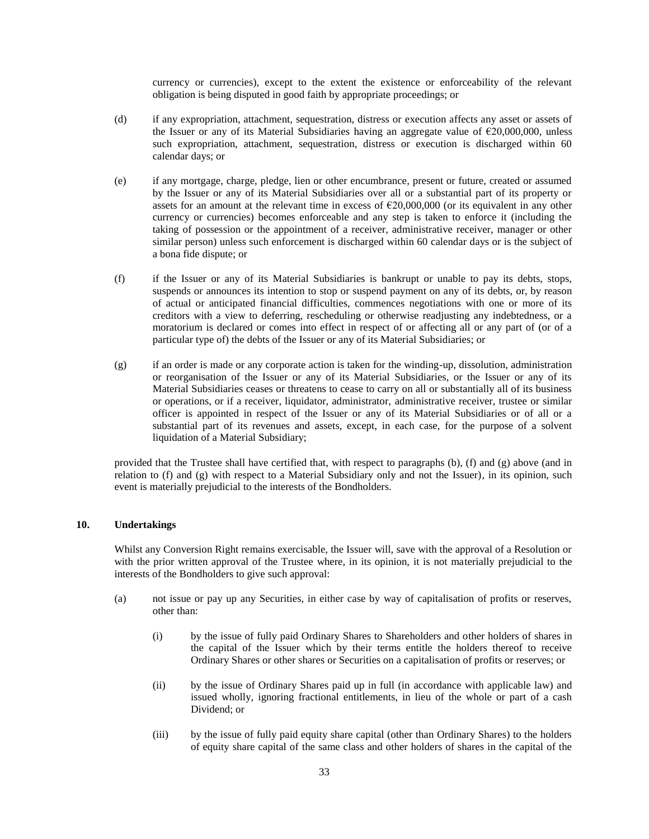currency or currencies), except to the extent the existence or enforceability of the relevant obligation is being disputed in good faith by appropriate proceedings; or

- (d) if any expropriation, attachment, sequestration, distress or execution affects any asset or assets of the Issuer or any of its Material Subsidiaries having an aggregate value of  $\epsilon$ 20,000,000, unless such expropriation, attachment, sequestration, distress or execution is discharged within 60 calendar days; or
- (e) if any mortgage, charge, pledge, lien or other encumbrance, present or future, created or assumed by the Issuer or any of its Material Subsidiaries over all or a substantial part of its property or assets for an amount at the relevant time in excess of  $\epsilon$ 20,000,000 (or its equivalent in any other currency or currencies) becomes enforceable and any step is taken to enforce it (including the taking of possession or the appointment of a receiver, administrative receiver, manager or other similar person) unless such enforcement is discharged within 60 calendar days or is the subject of a bona fide dispute; or
- (f) if the Issuer or any of its Material Subsidiaries is bankrupt or unable to pay its debts, stops, suspends or announces its intention to stop or suspend payment on any of its debts, or, by reason of actual or anticipated financial difficulties, commences negotiations with one or more of its creditors with a view to deferring, rescheduling or otherwise readjusting any indebtedness, or a moratorium is declared or comes into effect in respect of or affecting all or any part of (or of a particular type of) the debts of the Issuer or any of its Material Subsidiaries; or
- (g) if an order is made or any corporate action is taken for the winding-up, dissolution, administration or reorganisation of the Issuer or any of its Material Subsidiaries, or the Issuer or any of its Material Subsidiaries ceases or threatens to cease to carry on all or substantially all of its business or operations, or if a receiver, liquidator, administrator, administrative receiver, trustee or similar officer is appointed in respect of the Issuer or any of its Material Subsidiaries or of all or a substantial part of its revenues and assets, except, in each case, for the purpose of a solvent liquidation of a Material Subsidiary;

provided that the Trustee shall have certified that, with respect to paragraphs (b), (f) and (g) above (and in relation to (f) and (g) with respect to a Material Subsidiary only and not the Issuer), in its opinion, such event is materially prejudicial to the interests of the Bondholders.

# <span id="page-32-0"></span>**10. Undertakings**

Whilst any Conversion Right remains exercisable, the Issuer will, save with the approval of a Resolution or with the prior written approval of the Trustee where, in its opinion, it is not materially prejudicial to the interests of the Bondholders to give such approval:

- (a) not issue or pay up any Securities, in either case by way of capitalisation of profits or reserves, other than:
	- (i) by the issue of fully paid Ordinary Shares to Shareholders and other holders of shares in the capital of the Issuer which by their terms entitle the holders thereof to receive Ordinary Shares or other shares or Securities on a capitalisation of profits or reserves; or
	- (ii) by the issue of Ordinary Shares paid up in full (in accordance with applicable law) and issued wholly, ignoring fractional entitlements, in lieu of the whole or part of a cash Dividend; or
	- (iii) by the issue of fully paid equity share capital (other than Ordinary Shares) to the holders of equity share capital of the same class and other holders of shares in the capital of the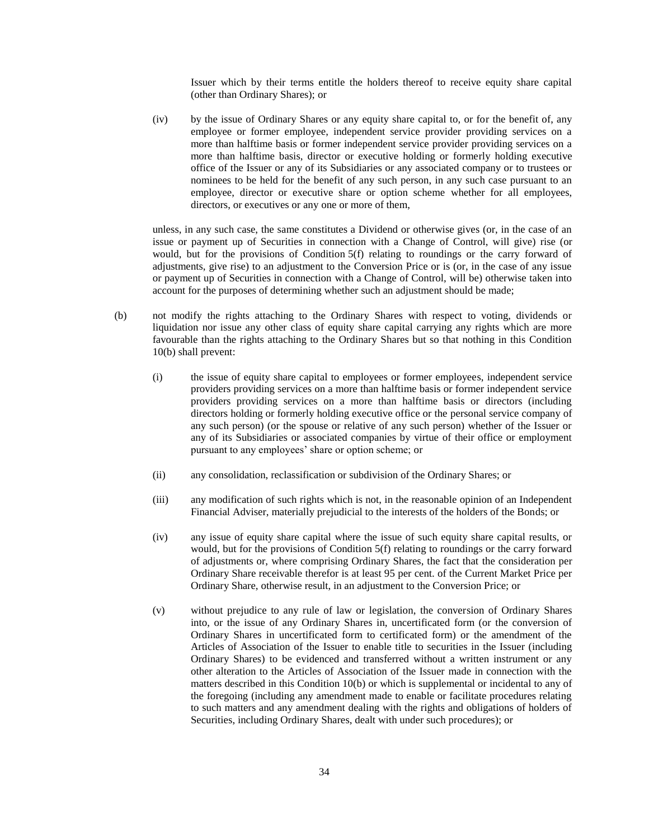Issuer which by their terms entitle the holders thereof to receive equity share capital (other than Ordinary Shares); or

(iv) by the issue of Ordinary Shares or any equity share capital to, or for the benefit of, any employee or former employee, independent service provider providing services on a more than halftime basis or former independent service provider providing services on a more than halftime basis, director or executive holding or formerly holding executive office of the Issuer or any of its Subsidiaries or any associated company or to trustees or nominees to be held for the benefit of any such person, in any such case pursuant to an employee, director or executive share or option scheme whether for all employees, directors, or executives or any one or more of them,

unless, in any such case, the same constitutes a Dividend or otherwise gives (or, in the case of an issue or payment up of Securities in connection with a Change of Control, will give) rise (or would, but for the provisions of Condition 5(f) relating to roundings or the carry forward of adjustments, give rise) to an adjustment to the Conversion Price or is (or, in the case of any issue or payment up of Securities in connection with a Change of Control, will be) otherwise taken into account for the purposes of determining whether such an adjustment should be made;

- (b) not modify the rights attaching to the Ordinary Shares with respect to voting, dividends or liquidation nor issue any other class of equity share capital carrying any rights which are more favourable than the rights attaching to the Ordinary Shares but so that nothing in this Condition 10(b) shall prevent:
	- (i) the issue of equity share capital to employees or former employees, independent service providers providing services on a more than halftime basis or former independent service providers providing services on a more than halftime basis or directors (including directors holding or formerly holding executive office or the personal service company of any such person) (or the spouse or relative of any such person) whether of the Issuer or any of its Subsidiaries or associated companies by virtue of their office or employment pursuant to any employees' share or option scheme; or
	- (ii) any consolidation, reclassification or subdivision of the Ordinary Shares; or
	- (iii) any modification of such rights which is not, in the reasonable opinion of an Independent Financial Adviser, materially prejudicial to the interests of the holders of the Bonds; or
	- (iv) any issue of equity share capital where the issue of such equity share capital results, or would, but for the provisions of Condition 5(f) relating to roundings or the carry forward of adjustments or, where comprising Ordinary Shares, the fact that the consideration per Ordinary Share receivable therefor is at least 95 per cent. of the Current Market Price per Ordinary Share, otherwise result, in an adjustment to the Conversion Price; or
	- (v) without prejudice to any rule of law or legislation, the conversion of Ordinary Shares into, or the issue of any Ordinary Shares in, uncertificated form (or the conversion of Ordinary Shares in uncertificated form to certificated form) or the amendment of the Articles of Association of the Issuer to enable title to securities in the Issuer (including Ordinary Shares) to be evidenced and transferred without a written instrument or any other alteration to the Articles of Association of the Issuer made in connection with the matters described in this Condition 10(b) or which is supplemental or incidental to any of the foregoing (including any amendment made to enable or facilitate procedures relating to such matters and any amendment dealing with the rights and obligations of holders of Securities, including Ordinary Shares, dealt with under such procedures); or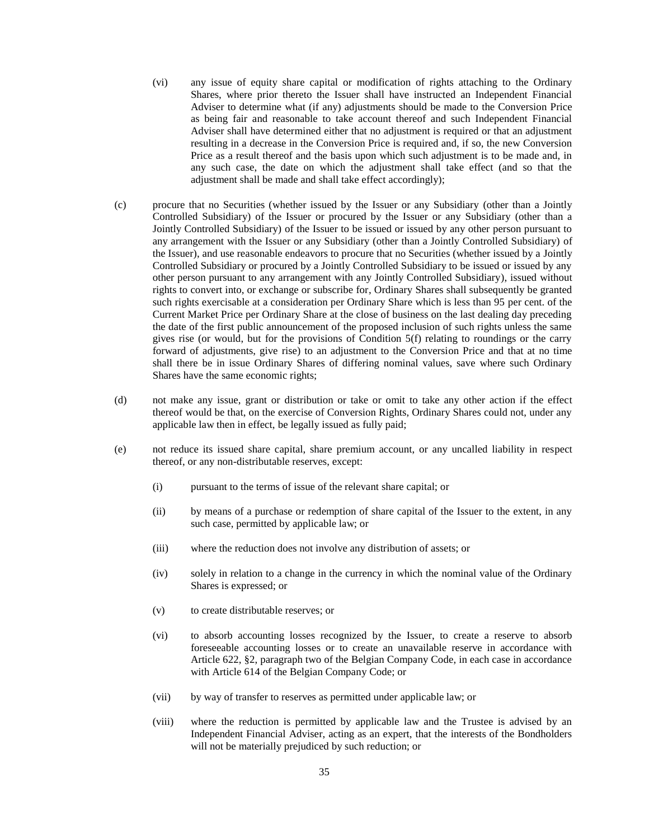- (vi) any issue of equity share capital or modification of rights attaching to the Ordinary Shares, where prior thereto the Issuer shall have instructed an Independent Financial Adviser to determine what (if any) adjustments should be made to the Conversion Price as being fair and reasonable to take account thereof and such Independent Financial Adviser shall have determined either that no adjustment is required or that an adjustment resulting in a decrease in the Conversion Price is required and, if so, the new Conversion Price as a result thereof and the basis upon which such adjustment is to be made and, in any such case, the date on which the adjustment shall take effect (and so that the adjustment shall be made and shall take effect accordingly);
- (c) procure that no Securities (whether issued by the Issuer or any Subsidiary (other than a Jointly Controlled Subsidiary) of the Issuer or procured by the Issuer or any Subsidiary (other than a Jointly Controlled Subsidiary) of the Issuer to be issued or issued by any other person pursuant to any arrangement with the Issuer or any Subsidiary (other than a Jointly Controlled Subsidiary) of the Issuer), and use reasonable endeavors to procure that no Securities (whether issued by a Jointly Controlled Subsidiary or procured by a Jointly Controlled Subsidiary to be issued or issued by any other person pursuant to any arrangement with any Jointly Controlled Subsidiary), issued without rights to convert into, or exchange or subscribe for, Ordinary Shares shall subsequently be granted such rights exercisable at a consideration per Ordinary Share which is less than 95 per cent. of the Current Market Price per Ordinary Share at the close of business on the last dealing day preceding the date of the first public announcement of the proposed inclusion of such rights unless the same gives rise (or would, but for the provisions of Condition 5(f) relating to roundings or the carry forward of adjustments, give rise) to an adjustment to the Conversion Price and that at no time shall there be in issue Ordinary Shares of differing nominal values, save where such Ordinary Shares have the same economic rights;
- (d) not make any issue, grant or distribution or take or omit to take any other action if the effect thereof would be that, on the exercise of Conversion Rights, Ordinary Shares could not, under any applicable law then in effect, be legally issued as fully paid;
- (e) not reduce its issued share capital, share premium account, or any uncalled liability in respect thereof, or any non-distributable reserves, except:
	- (i) pursuant to the terms of issue of the relevant share capital; or
	- (ii) by means of a purchase or redemption of share capital of the Issuer to the extent, in any such case, permitted by applicable law; or
	- (iii) where the reduction does not involve any distribution of assets; or
	- (iv) solely in relation to a change in the currency in which the nominal value of the Ordinary Shares is expressed; or
	- (v) to create distributable reserves; or
	- (vi) to absorb accounting losses recognized by the Issuer, to create a reserve to absorb foreseeable accounting losses or to create an unavailable reserve in accordance with Article 622, §2, paragraph two of the Belgian Company Code, in each case in accordance with Article 614 of the Belgian Company Code; or
	- (vii) by way of transfer to reserves as permitted under applicable law; or
	- (viii) where the reduction is permitted by applicable law and the Trustee is advised by an Independent Financial Adviser, acting as an expert, that the interests of the Bondholders will not be materially prejudiced by such reduction; or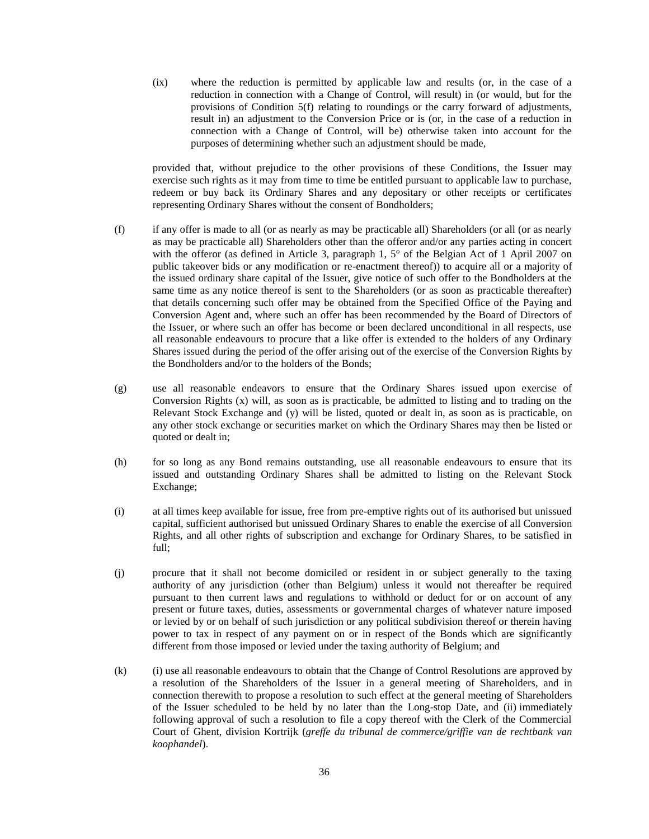(ix) where the reduction is permitted by applicable law and results (or, in the case of a reduction in connection with a Change of Control, will result) in (or would, but for the provisions of Condition 5(f) relating to roundings or the carry forward of adjustments, result in) an adjustment to the Conversion Price or is (or, in the case of a reduction in connection with a Change of Control, will be) otherwise taken into account for the purposes of determining whether such an adjustment should be made,

provided that, without prejudice to the other provisions of these Conditions, the Issuer may exercise such rights as it may from time to time be entitled pursuant to applicable law to purchase, redeem or buy back its Ordinary Shares and any depositary or other receipts or certificates representing Ordinary Shares without the consent of Bondholders;

- (f) if any offer is made to all (or as nearly as may be practicable all) Shareholders (or all (or as nearly as may be practicable all) Shareholders other than the offeror and/or any parties acting in concert with the offeror (as defined in Article 3, paragraph 1, 5° of the Belgian Act of 1 April 2007 on public takeover bids or any modification or re-enactment thereof)) to acquire all or a majority of the issued ordinary share capital of the Issuer, give notice of such offer to the Bondholders at the same time as any notice thereof is sent to the Shareholders (or as soon as practicable thereafter) that details concerning such offer may be obtained from the Specified Office of the Paying and Conversion Agent and, where such an offer has been recommended by the Board of Directors of the Issuer, or where such an offer has become or been declared unconditional in all respects, use all reasonable endeavours to procure that a like offer is extended to the holders of any Ordinary Shares issued during the period of the offer arising out of the exercise of the Conversion Rights by the Bondholders and/or to the holders of the Bonds;
- (g) use all reasonable endeavors to ensure that the Ordinary Shares issued upon exercise of Conversion Rights  $(x)$  will, as soon as is practicable, be admitted to listing and to trading on the Relevant Stock Exchange and (y) will be listed, quoted or dealt in, as soon as is practicable, on any other stock exchange or securities market on which the Ordinary Shares may then be listed or quoted or dealt in;
- (h) for so long as any Bond remains outstanding, use all reasonable endeavours to ensure that its issued and outstanding Ordinary Shares shall be admitted to listing on the Relevant Stock Exchange;
- (i) at all times keep available for issue, free from pre-emptive rights out of its authorised but unissued capital, sufficient authorised but unissued Ordinary Shares to enable the exercise of all Conversion Rights, and all other rights of subscription and exchange for Ordinary Shares, to be satisfied in full;
- (j) procure that it shall not become domiciled or resident in or subject generally to the taxing authority of any jurisdiction (other than Belgium) unless it would not thereafter be required pursuant to then current laws and regulations to withhold or deduct for or on account of any present or future taxes, duties, assessments or governmental charges of whatever nature imposed or levied by or on behalf of such jurisdiction or any political subdivision thereof or therein having power to tax in respect of any payment on or in respect of the Bonds which are significantly different from those imposed or levied under the taxing authority of Belgium; and
- (k) (i) use all reasonable endeavours to obtain that the Change of Control Resolutions are approved by a resolution of the Shareholders of the Issuer in a general meeting of Shareholders, and in connection therewith to propose a resolution to such effect at the general meeting of Shareholders of the Issuer scheduled to be held by no later than the Long-stop Date, and (ii) immediately following approval of such a resolution to file a copy thereof with the Clerk of the Commercial Court of Ghent, division Kortrijk (*greffe du tribunal de commerce/griffie van de rechtbank van koophandel*).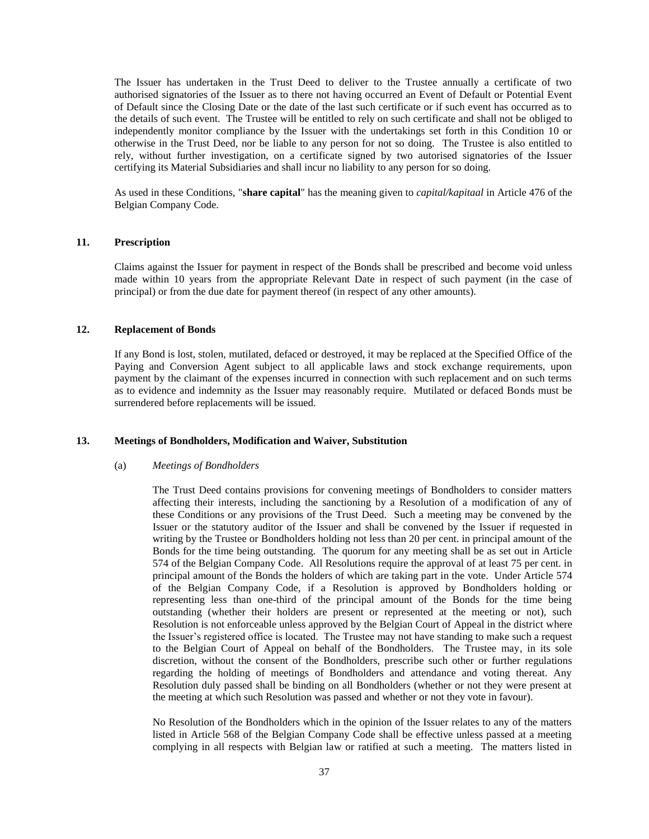The Issuer has undertaken in the Trust Deed to deliver to the Trustee annually a certificate of two authorised signatories of the Issuer as to there not having occurred an Event of Default or Potential Event of Default since the Closing Date or the date of the last such certificate or if such event has occurred as to the details of such event. The Trustee will be entitled to rely on such certificate and shall not be obliged to independently monitor compliance by the Issuer with the undertakings set forth in this Condition 10 or otherwise in the Trust Deed, nor be liable to any person for not so doing. The Trustee is also entitled to rely, without further investigation, on a certificate signed by two autorised signatories of the Issuer certifying its Material Subsidiaries and shall incur no liability to any person for so doing.

As used in these Conditions, "**share capital**" has the meaning given to *capital/kapitaal* in Article 476 of the Belgian Company Code.

### **11. Prescription**

Claims against the Issuer for payment in respect of the Bonds shall be prescribed and become void unless made within 10 years from the appropriate Relevant Date in respect of such payment (in the case of principal) or from the due date for payment thereof (in respect of any other amounts).

### **12. Replacement of Bonds**

If any Bond is lost, stolen, mutilated, defaced or destroyed, it may be replaced at the Specified Office of the Paying and Conversion Agent subject to all applicable laws and stock exchange requirements, upon payment by the claimant of the expenses incurred in connection with such replacement and on such terms as to evidence and indemnity as the Issuer may reasonably require. Mutilated or defaced Bonds must be surrendered before replacements will be issued.

### **13. Meetings of Bondholders, Modification and Waiver, Substitution**

#### (a) *Meetings of Bondholders*

The Trust Deed contains provisions for convening meetings of Bondholders to consider matters affecting their interests, including the sanctioning by a Resolution of a modification of any of these Conditions or any provisions of the Trust Deed. Such a meeting may be convened by the Issuer or the statutory auditor of the Issuer and shall be convened by the Issuer if requested in writing by the Trustee or Bondholders holding not less than 20 per cent. in principal amount of the Bonds for the time being outstanding. The quorum for any meeting shall be as set out in Article 574 of the Belgian Company Code. All Resolutions require the approval of at least 75 per cent. in principal amount of the Bonds the holders of which are taking part in the vote. Under Article 574 of the Belgian Company Code, if a Resolution is approved by Bondholders holding or representing less than one-third of the principal amount of the Bonds for the time being outstanding (whether their holders are present or represented at the meeting or not), such Resolution is not enforceable unless approved by the Belgian Court of Appeal in the district where the Issuer's registered office is located. The Trustee may not have standing to make such a request to the Belgian Court of Appeal on behalf of the Bondholders. The Trustee may, in its sole discretion, without the consent of the Bondholders, prescribe such other or further regulations regarding the holding of meetings of Bondholders and attendance and voting thereat. Any Resolution duly passed shall be binding on all Bondholders (whether or not they were present at the meeting at which such Resolution was passed and whether or not they vote in favour).

No Resolution of the Bondholders which in the opinion of the Issuer relates to any of the matters listed in Article 568 of the Belgian Company Code shall be effective unless passed at a meeting complying in all respects with Belgian law or ratified at such a meeting. The matters listed in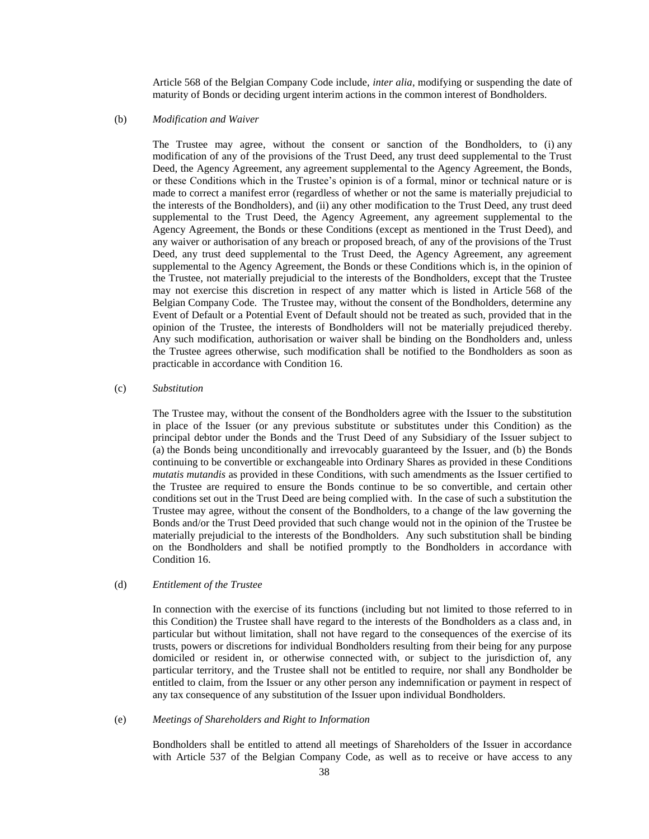Article 568 of the Belgian Company Code include, *inter alia*, modifying or suspending the date of maturity of Bonds or deciding urgent interim actions in the common interest of Bondholders.

#### (b) *Modification and Waiver*

The Trustee may agree, without the consent or sanction of the Bondholders, to (i) any modification of any of the provisions of the Trust Deed, any trust deed supplemental to the Trust Deed, the Agency Agreement, any agreement supplemental to the Agency Agreement, the Bonds, or these Conditions which in the Trustee's opinion is of a formal, minor or technical nature or is made to correct a manifest error (regardless of whether or not the same is materially prejudicial to the interests of the Bondholders), and (ii) any other modification to the Trust Deed, any trust deed supplemental to the Trust Deed, the Agency Agreement, any agreement supplemental to the Agency Agreement, the Bonds or these Conditions (except as mentioned in the Trust Deed), and any waiver or authorisation of any breach or proposed breach, of any of the provisions of the Trust Deed, any trust deed supplemental to the Trust Deed, the Agency Agreement, any agreement supplemental to the Agency Agreement, the Bonds or these Conditions which is, in the opinion of the Trustee, not materially prejudicial to the interests of the Bondholders, except that the Trustee may not exercise this discretion in respect of any matter which is listed in Article 568 of the Belgian Company Code. The Trustee may, without the consent of the Bondholders, determine any Event of Default or a Potential Event of Default should not be treated as such, provided that in the opinion of the Trustee, the interests of Bondholders will not be materially prejudiced thereby. Any such modification, authorisation or waiver shall be binding on the Bondholders and, unless the Trustee agrees otherwise, such modification shall be notified to the Bondholders as soon as practicable in accordance with Condition 16.

#### (c) *Substitution*

The Trustee may, without the consent of the Bondholders agree with the Issuer to the substitution in place of the Issuer (or any previous substitute or substitutes under this Condition) as the principal debtor under the Bonds and the Trust Deed of any Subsidiary of the Issuer subject to (a) the Bonds being unconditionally and irrevocably guaranteed by the Issuer, and (b) the Bonds continuing to be convertible or exchangeable into Ordinary Shares as provided in these Conditions *mutatis mutandis* as provided in these Conditions, with such amendments as the Issuer certified to the Trustee are required to ensure the Bonds continue to be so convertible, and certain other conditions set out in the Trust Deed are being complied with. In the case of such a substitution the Trustee may agree, without the consent of the Bondholders, to a change of the law governing the Bonds and/or the Trust Deed provided that such change would not in the opinion of the Trustee be materially prejudicial to the interests of the Bondholders. Any such substitution shall be binding on the Bondholders and shall be notified promptly to the Bondholders in accordance with Condition 16.

### (d) *Entitlement of the Trustee*

In connection with the exercise of its functions (including but not limited to those referred to in this Condition) the Trustee shall have regard to the interests of the Bondholders as a class and, in particular but without limitation, shall not have regard to the consequences of the exercise of its trusts, powers or discretions for individual Bondholders resulting from their being for any purpose domiciled or resident in, or otherwise connected with, or subject to the jurisdiction of, any particular territory, and the Trustee shall not be entitled to require, nor shall any Bondholder be entitled to claim, from the Issuer or any other person any indemnification or payment in respect of any tax consequence of any substitution of the Issuer upon individual Bondholders.

### (e) *Meetings of Shareholders and Right to Information*

Bondholders shall be entitled to attend all meetings of Shareholders of the Issuer in accordance with Article 537 of the Belgian Company Code, as well as to receive or have access to any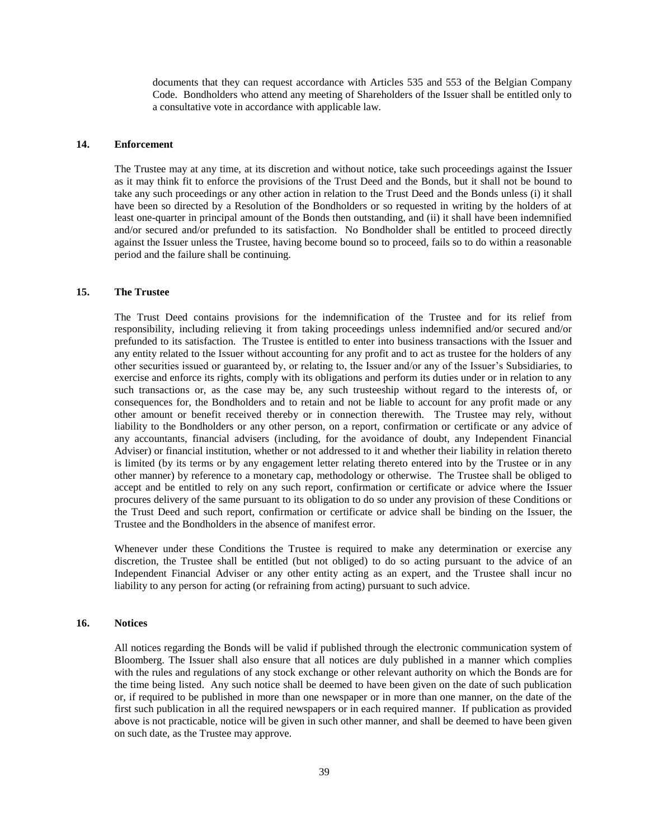documents that they can request accordance with Articles 535 and 553 of the Belgian Company Code. Bondholders who attend any meeting of Shareholders of the Issuer shall be entitled only to a consultative vote in accordance with applicable law.

### **14. Enforcement**

The Trustee may at any time, at its discretion and without notice, take such proceedings against the Issuer as it may think fit to enforce the provisions of the Trust Deed and the Bonds, but it shall not be bound to take any such proceedings or any other action in relation to the Trust Deed and the Bonds unless (i) it shall have been so directed by a Resolution of the Bondholders or so requested in writing by the holders of at least one-quarter in principal amount of the Bonds then outstanding, and (ii) it shall have been indemnified and/or secured and/or prefunded to its satisfaction. No Bondholder shall be entitled to proceed directly against the Issuer unless the Trustee, having become bound so to proceed, fails so to do within a reasonable period and the failure shall be continuing.

## **15. The Trustee**

The Trust Deed contains provisions for the indemnification of the Trustee and for its relief from responsibility, including relieving it from taking proceedings unless indemnified and/or secured and/or prefunded to its satisfaction. The Trustee is entitled to enter into business transactions with the Issuer and any entity related to the Issuer without accounting for any profit and to act as trustee for the holders of any other securities issued or guaranteed by, or relating to, the Issuer and/or any of the Issuer's Subsidiaries, to exercise and enforce its rights, comply with its obligations and perform its duties under or in relation to any such transactions or, as the case may be, any such trusteeship without regard to the interests of, or consequences for, the Bondholders and to retain and not be liable to account for any profit made or any other amount or benefit received thereby or in connection therewith. The Trustee may rely, without liability to the Bondholders or any other person, on a report, confirmation or certificate or any advice of any accountants, financial advisers (including, for the avoidance of doubt, any Independent Financial Adviser) or financial institution, whether or not addressed to it and whether their liability in relation thereto is limited (by its terms or by any engagement letter relating thereto entered into by the Trustee or in any other manner) by reference to a monetary cap, methodology or otherwise. The Trustee shall be obliged to accept and be entitled to rely on any such report, confirmation or certificate or advice where the Issuer procures delivery of the same pursuant to its obligation to do so under any provision of these Conditions or the Trust Deed and such report, confirmation or certificate or advice shall be binding on the Issuer, the Trustee and the Bondholders in the absence of manifest error.

Whenever under these Conditions the Trustee is required to make any determination or exercise any discretion, the Trustee shall be entitled (but not obliged) to do so acting pursuant to the advice of an Independent Financial Adviser or any other entity acting as an expert, and the Trustee shall incur no liability to any person for acting (or refraining from acting) pursuant to such advice.

### <span id="page-38-0"></span>**16. Notices**

All notices regarding the Bonds will be valid if published through the electronic communication system of Bloomberg. The Issuer shall also ensure that all notices are duly published in a manner which complies with the rules and regulations of any stock exchange or other relevant authority on which the Bonds are for the time being listed. Any such notice shall be deemed to have been given on the date of such publication or, if required to be published in more than one newspaper or in more than one manner, on the date of the first such publication in all the required newspapers or in each required manner. If publication as provided above is not practicable, notice will be given in such other manner, and shall be deemed to have been given on such date, as the Trustee may approve.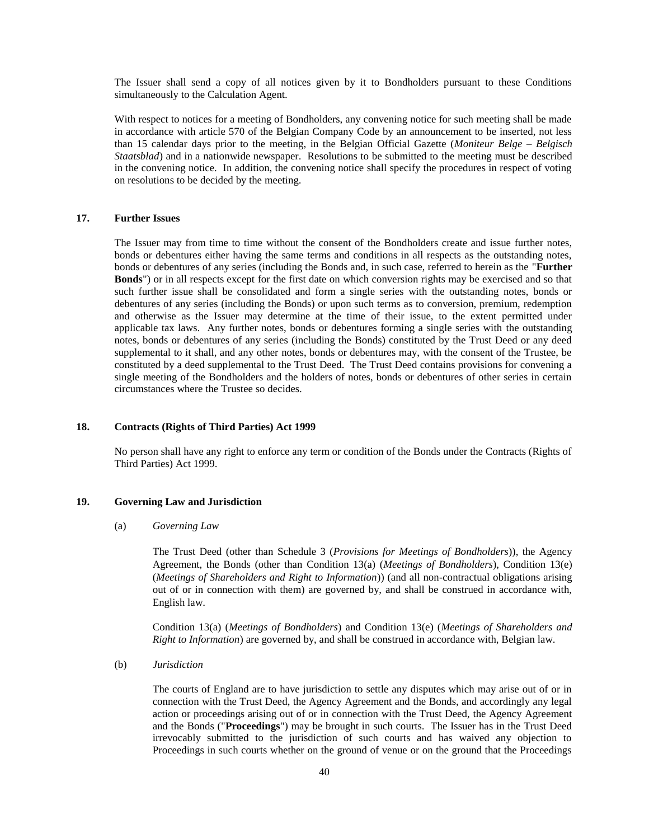The Issuer shall send a copy of all notices given by it to Bondholders pursuant to these Conditions simultaneously to the Calculation Agent.

With respect to notices for a meeting of Bondholders, any convening notice for such meeting shall be made in accordance with article 570 of the Belgian Company Code by an announcement to be inserted, not less than 15 calendar days prior to the meeting, in the Belgian Official Gazette (*Moniteur Belge – Belgisch Staatsblad*) and in a nationwide newspaper. Resolutions to be submitted to the meeting must be described in the convening notice. In addition, the convening notice shall specify the procedures in respect of voting on resolutions to be decided by the meeting.

### <span id="page-39-0"></span>**17. Further Issues**

The Issuer may from time to time without the consent of the Bondholders create and issue further notes, bonds or debentures either having the same terms and conditions in all respects as the outstanding notes, bonds or debentures of any series (including the Bonds and, in such case, referred to herein as the "**Further Bonds**") or in all respects except for the first date on which conversion rights may be exercised and so that such further issue shall be consolidated and form a single series with the outstanding notes, bonds or debentures of any series (including the Bonds) or upon such terms as to conversion, premium, redemption and otherwise as the Issuer may determine at the time of their issue, to the extent permitted under applicable tax laws. Any further notes, bonds or debentures forming a single series with the outstanding notes, bonds or debentures of any series (including the Bonds) constituted by the Trust Deed or any deed supplemental to it shall, and any other notes, bonds or debentures may, with the consent of the Trustee, be constituted by a deed supplemental to the Trust Deed. The Trust Deed contains provisions for convening a single meeting of the Bondholders and the holders of notes, bonds or debentures of other series in certain circumstances where the Trustee so decides.

### **18. Contracts (Rights of Third Parties) Act 1999**

No person shall have any right to enforce any term or condition of the Bonds under the Contracts (Rights of Third Parties) Act 1999.

# **19. Governing Law and Jurisdiction**

(a) *Governing Law*

The Trust Deed (other than Schedule 3 (*Provisions for Meetings of Bondholders*)), the Agency Agreement, the Bonds (other than Condition 13(a) (*Meetings of Bondholders*), Condition 13(e) (*Meetings of Shareholders and Right to Information*)) (and all non-contractual obligations arising out of or in connection with them) are governed by, and shall be construed in accordance with, English law.

Condition 13(a) (*Meetings of Bondholders*) and Condition 13(e) (*Meetings of Shareholders and Right to Information*) are governed by, and shall be construed in accordance with, Belgian law.

<span id="page-39-1"></span>(b) *Jurisdiction*

The courts of England are to have jurisdiction to settle any disputes which may arise out of or in connection with the Trust Deed, the Agency Agreement and the Bonds, and accordingly any legal action or proceedings arising out of or in connection with the Trust Deed, the Agency Agreement and the Bonds ("**Proceedings**") may be brought in such courts. The Issuer has in the Trust Deed irrevocably submitted to the jurisdiction of such courts and has waived any objection to Proceedings in such courts whether on the ground of venue or on the ground that the Proceedings